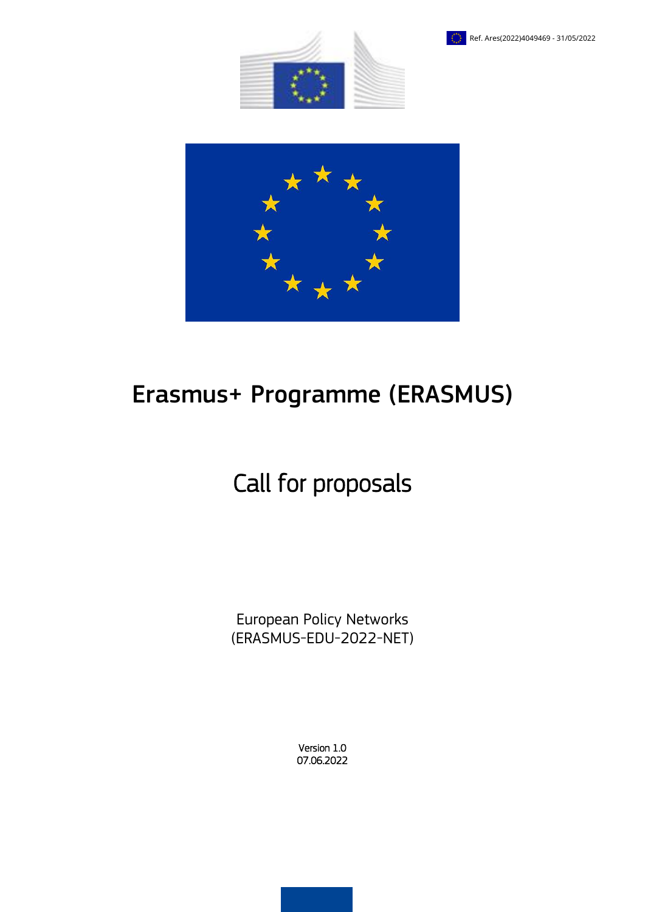





# Erasmus+ Programme (ERASMUS)

# Call for proposals

European Policy Networks (ERASMUS-EDU-2022-NET)

> Version 1.0 07.06.2022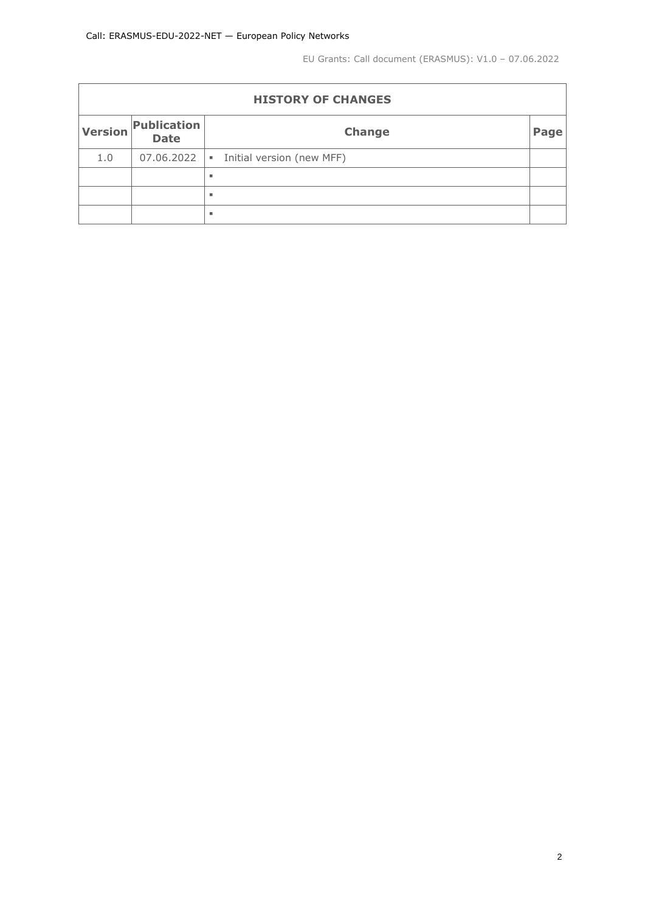EU Grants: Call document (ERASMUS): V1.0 – 07.06.2022

| <b>HISTORY OF CHANGES</b> |                            |                                             |      |  |  |  |  |
|---------------------------|----------------------------|---------------------------------------------|------|--|--|--|--|
| Version                   | Publication<br><b>Date</b> | Change                                      | Page |  |  |  |  |
| 1.0                       | 07.06.2022                 | Initial version (new MFF)<br>$\mathbf{u}$ . |      |  |  |  |  |
|                           |                            | ٠                                           |      |  |  |  |  |
|                           |                            | ٠                                           |      |  |  |  |  |
|                           |                            | ٠                                           |      |  |  |  |  |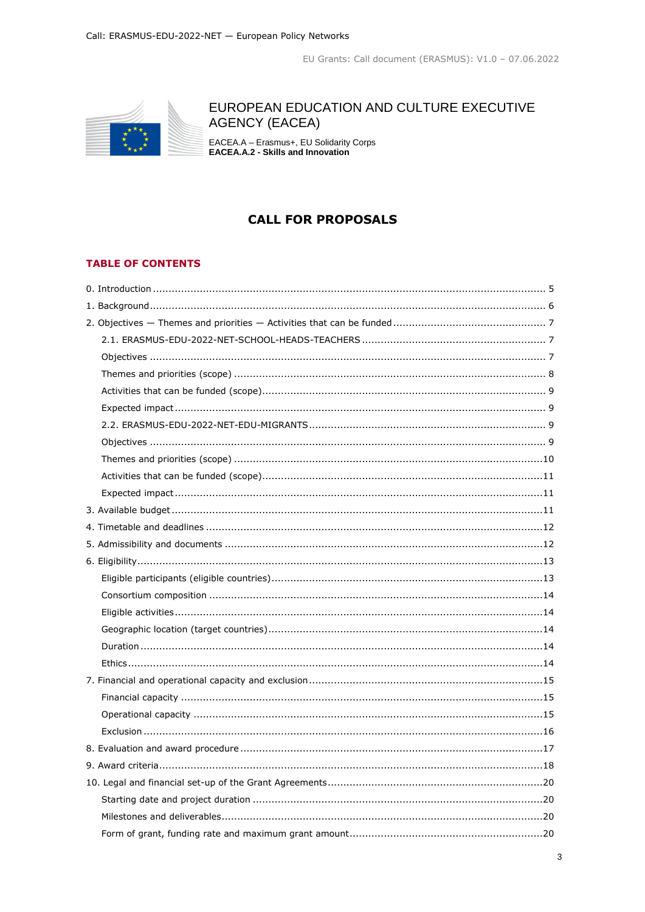

# EUROPEAN EDUCATION AND CULTURE EXECUTIVE **AGENCY (EACEA)**

EACEA.A - Erasmus+, EU Solidarity Corps<br>EACEA.A.2 - Skills and Innovation

# **CALL FOR PROPOSALS**

# **TABLE OF CONTENTS**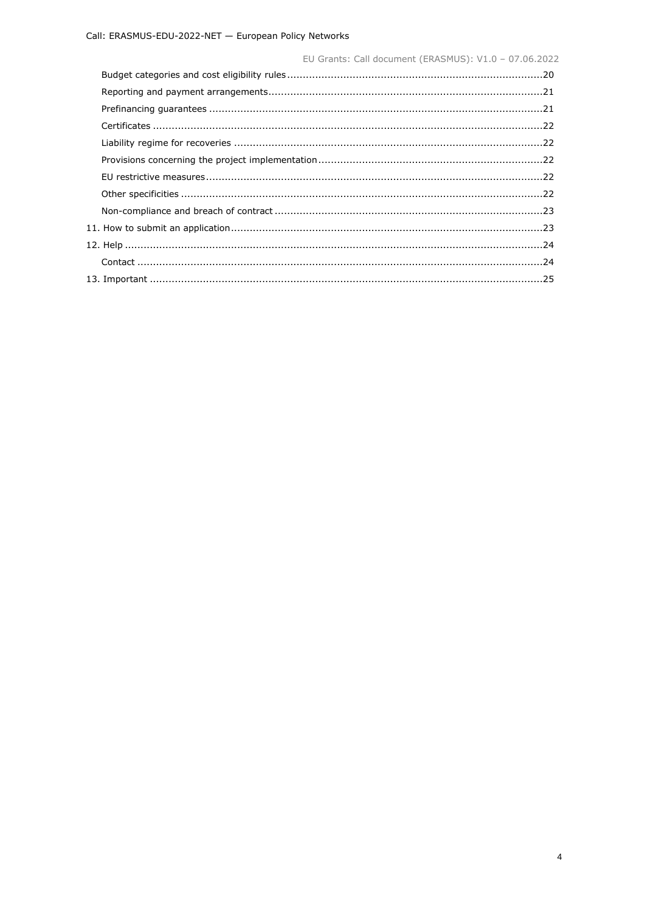| EU Grants: Call document (ERASMUS): V1.0 - 07.06.2022 |  |
|-------------------------------------------------------|--|
|                                                       |  |
|                                                       |  |
|                                                       |  |
|                                                       |  |
|                                                       |  |
|                                                       |  |
|                                                       |  |
|                                                       |  |
|                                                       |  |
|                                                       |  |
|                                                       |  |
|                                                       |  |
|                                                       |  |
|                                                       |  |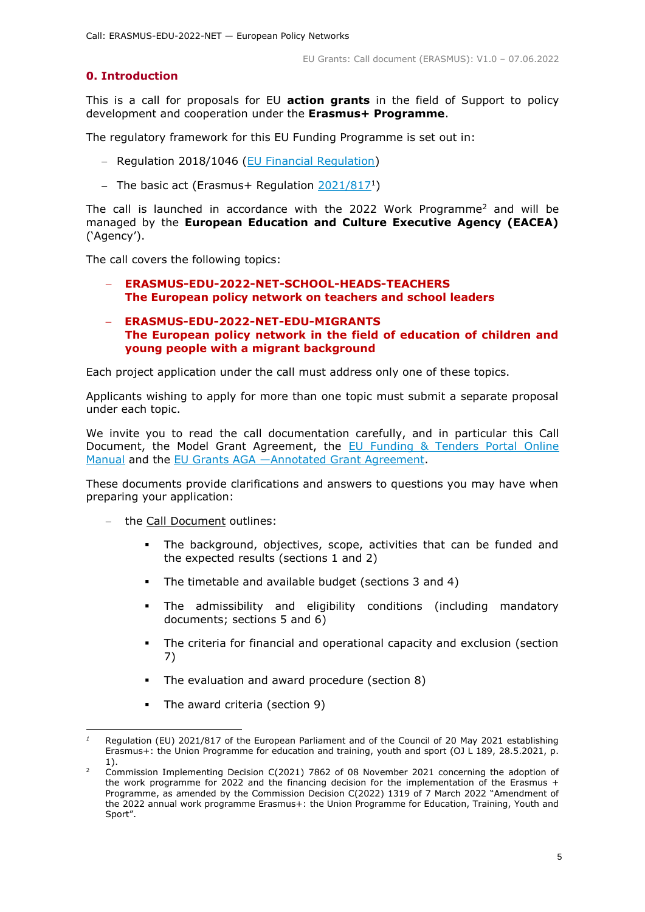# <span id="page-4-0"></span>**0. Introduction**

This is a call for proposals for EU **action grants** in the field of Support to policy development and cooperation under the **Erasmus+ Programme**.

The regulatory framework for this EU Funding Programme is set out in:

- Regulation 2018/1046 [\(EU Financial Regulation\)](https://eur-lex.europa.eu/legal-content/EN/ALL/?uri=CELEX:32018R1046&qid=1535046024012)
- The basic act (Erasmus+ Regulation [2021/817](https://eur-lex.europa.eu/legal-content/EN/ALL/?uri=CELEX:32021R0817)<sup>1</sup>)

The call is launched in accordance with the 2022 Work Programme<sup>2</sup> and will be managed by the **European Education and Culture Executive Agency (EACEA)** ('Agency').

The call covers the following topics:

- **ERASMUS-EDU-2022-NET-SCHOOL-HEADS-TEACHERS The European policy network on teachers and school leaders**
- **ERASMUS-EDU-2022-NET-EDU-MIGRANTS The European policy network in the field of education of children and young people with a migrant background**

Each project application under the call must address only one of these topics.

Applicants wishing to apply for more than one topic must submit a separate proposal under each topic.

We invite you to read the call documentation carefully, and in particular this Call Document, the Model Grant Agreement, the [EU Funding & Tenders Portal Online](https://ec.europa.eu/info/funding-tenders/opportunities/docs/2021-2027/common/guidance/om_en.pdf)  [Manual](https://ec.europa.eu/info/funding-tenders/opportunities/docs/2021-2027/common/guidance/om_en.pdf) and the EU Grants AGA —[Annotated Grant Agreement.](https://ec.europa.eu/info/funding-tenders/opportunities/docs/2021-2027/common/guidance/aga_en.pdf)

These documents provide clarifications and answers to questions you may have when preparing your application:

- the Call Document outlines:
	- The background, objectives, scope, activities that can be funded and the expected results (sections 1 and 2)
	- The timetable and available budget (sections 3 and 4)
	- The admissibility and eligibility conditions (including mandatory documents; sections 5 and 6)
	- The criteria for financial and operational capacity and exclusion (section 7)
	- The evaluation and award procedure (section 8)
	- The award criteria (section 9)

<sup>-</sup>*<sup>1</sup>* Regulation (EU) 2021/817 of the European Parliament and of the Council of 20 May 2021 establishing Erasmus+: the Union Programme for education and training, youth and sport (OJ L 189, 28.5.2021, p. 1).

<sup>&</sup>lt;sup>2</sup> Commission Implementing Decision C(2021) 7862 of 08 November 2021 concerning the adoption of the work programme for 2022 and the financing decision for the implementation of the Erasmus  $+$ Programme, as amended by the Commission Decision C(2022) 1319 of 7 March 2022 "Amendment of the 2022 annual work programme Erasmus+: the Union Programme for Education, Training, Youth and Sport".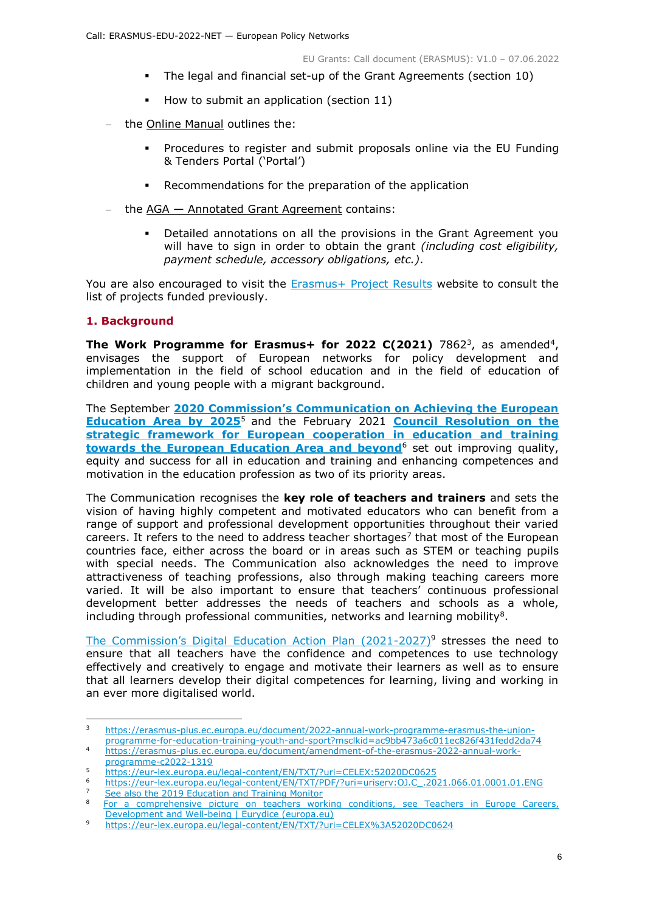- The legal and financial set-up of the Grant Agreements (section 10)
- How to submit an application (section  $11$ )
- the Online Manual outlines the:
	- Procedures to register and submit proposals online via the EU Funding & Tenders Portal ('Portal')
	- Recommendations for the preparation of the application
- $-$  the  $AGA Annotated Grant Agreement contains:$ 
	- Detailed annotations on all the provisions in the Grant Agreement you will have to sign in order to obtain the grant *(including cost eligibility, payment schedule, accessory obligations, etc.)*.

You are also encouraged to visit the [Erasmus+ Project Results](https://ec.europa.eu/programmes/erasmus-plus/projects_en) website to consult the list of projects funded previously.

# <span id="page-5-0"></span>**1. Background**

**The Work Programme for Erasmus+ for 2022 C(2021)** 7862<sup>3</sup>, as amended<sup>4</sup>, envisages the support of European networks for policy development and implementation in the field of school education and in the field of education of children and young people with a migrant background.

The September **[2020 Commission's Communication on Achieving the European](https://eur-lex.europa.eu/legal-content/EN/TXT/?uri=CELEX:52020DC0625)  [Education Area by 2025](https://eur-lex.europa.eu/legal-content/EN/TXT/?uri=CELEX:52020DC0625)**<sup>5</sup> and the February 2021 **[Council Resolution on the](https://eur-lex.europa.eu/legal-content/EN/TXT/PDF/?uri=uriserv:OJ.C_.2021.066.01.0001.01.ENG)  [strategic framework for European cooperation in education and training](https://eur-lex.europa.eu/legal-content/EN/TXT/PDF/?uri=uriserv:OJ.C_.2021.066.01.0001.01.ENG)  [towards the European Education Area and beyond](https://eur-lex.europa.eu/legal-content/EN/TXT/PDF/?uri=uriserv:OJ.C_.2021.066.01.0001.01.ENG)**<sup>6</sup> set out improving quality, equity and success for all in education and training and enhancing competences and motivation in the education profession as two of its priority areas.

The Communication recognises the **key role of teachers and trainers** and sets the vision of having highly competent and motivated educators who can benefit from a range of support and professional development opportunities throughout their varied careers. It refers to the need to address teacher shortages<sup>7</sup> that most of the European countries face, either across the board or in areas such as STEM or teaching pupils with special needs. The Communication also acknowledges the need to improve attractiveness of teaching professions, also through making teaching careers more varied. It will be also important to ensure that teachers' continuous professional development better addresses the needs of teachers and schools as a whole, including through professional communities, networks and learning mobility<sup>8</sup>.

The Commission's Digital Education Action Plan  $(2021-2027)^9$  stresses the need to ensure that all teachers have the confidence and competences to use technology effectively and creatively to engage and motivate their learners as well as to ensure that all learners develop their digital competences for learning, living and working in an ever more digitalised world.

 $\overline{3}$ <sup>3</sup> [https://erasmus-plus.ec.europa.eu/document/2022-annual-work-programme-erasmus-the-union](https://erasmus-plus.ec.europa.eu/document/2022-annual-work-programme-erasmus-the-union-programme-for-education-training-youth-and-sport?msclkid=ac9bb473a6c011ec826f431fedd2da74)[programme-for-education-training-youth-and-sport?msclkid=ac9bb473a6c011ec826f431fedd2da74](https://erasmus-plus.ec.europa.eu/document/2022-annual-work-programme-erasmus-the-union-programme-for-education-training-youth-and-sport?msclkid=ac9bb473a6c011ec826f431fedd2da74)

<sup>4</sup> [https://erasmus-plus.ec.europa.eu/document/amendment-of-the-erasmus-2022-annual-work](https://erasmus-plus.ec.europa.eu/document/amendment-of-the-erasmus-2022-annual-work-programme-c2022-1319)[programme-c2022-1319](https://erasmus-plus.ec.europa.eu/document/amendment-of-the-erasmus-2022-annual-work-programme-c2022-1319)

<sup>5</sup> <https://eur-lex.europa.eu/legal-content/EN/TXT/?uri=CELEX:52020DC0625>

<sup>6</sup> [https://eur-lex.europa.eu/legal-content/EN/TXT/PDF/?uri=uriserv:OJ.C\\_.2021.066.01.0001.01.ENG](https://eur-lex.europa.eu/legal-content/EN/TXT/PDF/?uri=uriserv:OJ.C_.2021.066.01.0001.01.ENG)

<sup>7</sup> See also the [2019 Education and Training Monitor](https://education.ec.europa.eu/sites/default/files/document-library-docs/volume-1-2019-education-and-training-monitor.pdf)

<sup>8</sup> For a comprehensive picture on teachers working conditions, see [Teachers in Europe Careers,](https://eacea.ec.europa.eu/national-policies/eurydice/content/teachers-europe-carreers-development-and-well-being_en)  [Development and Well-being | Eurydice \(europa.eu\)](https://eacea.ec.europa.eu/national-policies/eurydice/content/teachers-europe-carreers-development-and-well-being_en)

<sup>9</sup> <https://eur-lex.europa.eu/legal-content/EN/TXT/?uri=CELEX%3A52020DC0624>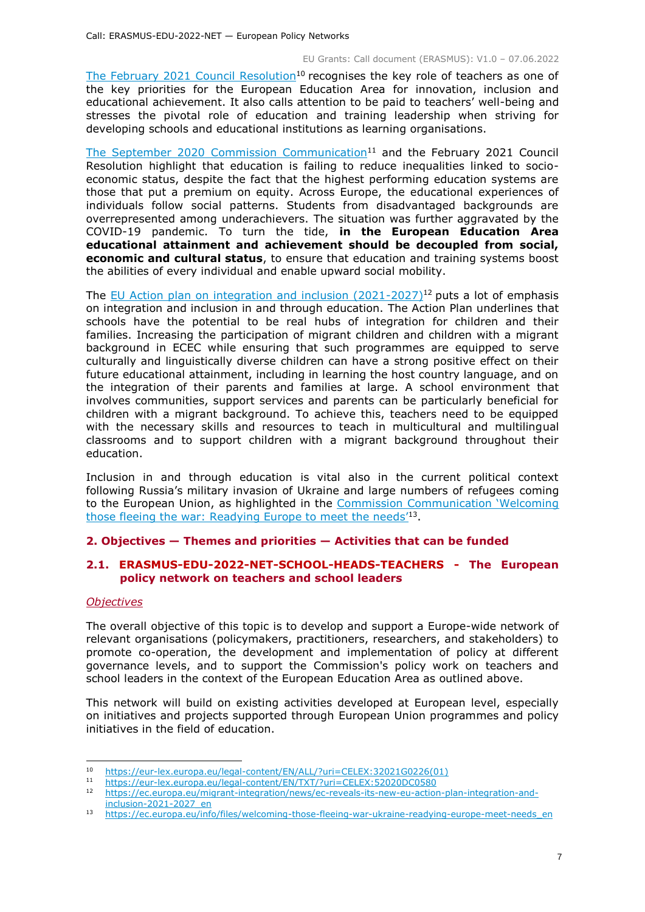[The February 2021 Council Resolution](https://eur-lex.europa.eu/legal-content/EN/ALL/?uri=CELEX:32021G0226(01))<sup>10</sup> recognises the key role of teachers as one of the key priorities for the European Education Area for innovation, inclusion and educational achievement. It also calls attention to be paid to teachers' well-being and stresses the pivotal role of education and training leadership when striving for developing schools and educational institutions as learning organisations.

The September 2020 [Commission Communication](https://eur-lex.europa.eu/legal-content/EN/TXT/?uri=CELEX:52020DC0580)<sup>11</sup> and the February 2021 Council Resolution highlight that education is failing to reduce inequalities linked to socioeconomic status, despite the fact that the highest performing education systems are those that put a premium on equity. Across Europe, the educational experiences of individuals follow social patterns. Students from disadvantaged backgrounds are overrepresented among underachievers. The situation was further aggravated by the COVID-19 pandemic. To turn the tide, **in the European Education Area educational attainment and achievement should be decoupled from social, economic and cultural status**, to ensure that education and training systems boost the abilities of every individual and enable upward social mobility.

The EU Action plan on integration and inclusion  $(2021-2027)^{12}$  puts a lot of emphasis on integration and inclusion in and through education. The Action Plan underlines that schools have the potential to be real hubs of integration for children and their families. Increasing the participation of migrant children and children with a migrant background in ECEC while ensuring that such programmes are equipped to serve culturally and linguistically diverse children can have a strong positive effect on their future educational attainment, including in learning the host country language, and on the integration of their parents and families at large. A school environment that involves communities, support services and parents can be particularly beneficial for children with a migrant background. To achieve this, teachers need to be equipped with the necessary skills and resources to teach in multicultural and multilingual classrooms and to support children with a migrant background throughout their education.

Inclusion in and through education is vital also in the current political context following Russia's military invasion of Ukraine and large numbers of refugees coming to the European Union, as highlighted in the [Commission Communication 'Welcoming](https://ec.europa.eu/info/files/welcoming-those-fleeing-war-ukraine-readying-europe-meet-needs_en)  [those fleeing the war: Readying Europe to meet the nee](https://ec.europa.eu/info/files/welcoming-those-fleeing-war-ukraine-readying-europe-meet-needs_en)ds<sup>'13</sup>.

# <span id="page-6-0"></span>**2. Objectives — Themes and priorities — Activities that can be funded**

# <span id="page-6-1"></span>**2.1. ERASMUS-EDU-2022-NET-SCHOOL-HEADS-TEACHERS - The European policy network on teachers and school leaders**

# <span id="page-6-2"></span>*Objectives*

The overall objective of this topic is to develop and support a Europe-wide network of relevant organisations (policymakers, practitioners, researchers, and stakeholders) to promote co-operation, the development and implementation of policy at different governance levels, and to support the Commission's policy work on teachers and school leaders in the context of the European Education Area as outlined above.

This network will build on existing activities developed at European level, especially on initiatives and projects supported through European Union programmes and policy initiatives in the field of education.

 $10<sup>-10</sup>$ <sup>10</sup> [https://eur-lex.europa.eu/legal-content/EN/ALL/?uri=CELEX:32021G0226\(01\)](https://eur-lex.europa.eu/legal-content/EN/ALL/?uri=CELEX:32021G0226(01))

<sup>11</sup> <https://eur-lex.europa.eu/legal-content/EN/TXT/?uri=CELEX:52020DC0580>

<sup>12</sup> [https://ec.europa.eu/migrant-integration/news/ec-reveals-its-new-eu-action-plan-integration-and](https://ec.europa.eu/migrant-integration/news/ec-reveals-its-new-eu-action-plan-integration-and-inclusion-2021-2027_en)[inclusion-2021-2027\\_en](https://ec.europa.eu/migrant-integration/news/ec-reveals-its-new-eu-action-plan-integration-and-inclusion-2021-2027_en)

<sup>13</sup> [https://ec.europa.eu/info/files/welcoming-those-fleeing-war-ukraine-readying-europe-meet-needs\\_en](https://ec.europa.eu/info/files/welcoming-those-fleeing-war-ukraine-readying-europe-meet-needs_en)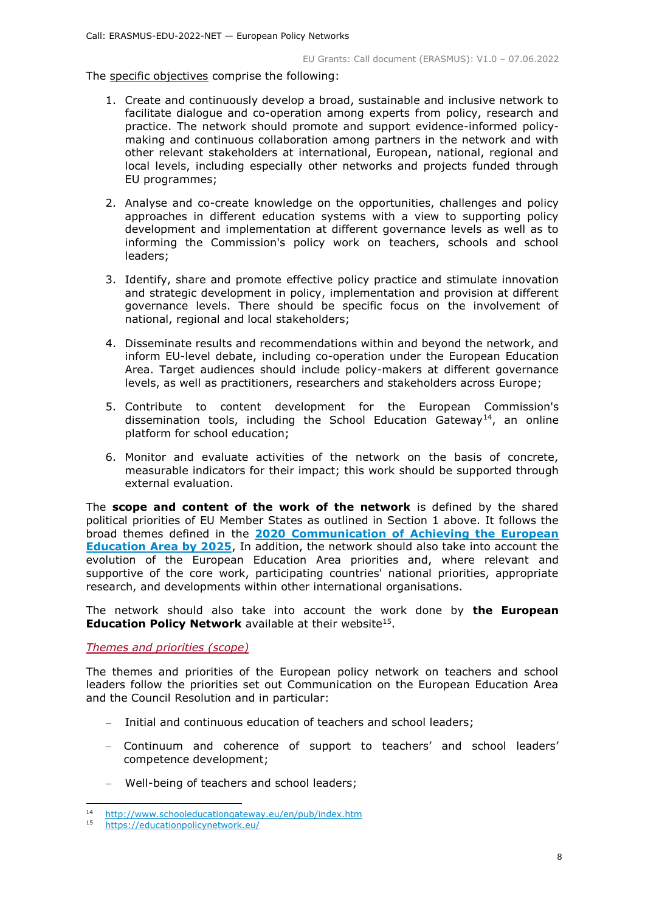#### The specific objectives comprise the following:

- 1. Create and continuously develop a broad, sustainable and inclusive network to facilitate dialogue and co-operation among experts from policy, research and practice. The network should promote and support evidence-informed policymaking and continuous collaboration among partners in the network and with other relevant stakeholders at international, European, national, regional and local levels, including especially other networks and projects funded through EU programmes;
- 2. Analyse and co-create knowledge on the opportunities, challenges and policy approaches in different education systems with a view to supporting policy development and implementation at different governance levels as well as to informing the Commission's policy work on teachers, schools and school leaders;
- 3. Identify, share and promote effective policy practice and stimulate innovation and strategic development in policy, implementation and provision at different governance levels. There should be specific focus on the involvement of national, regional and local stakeholders;
- 4. Disseminate results and recommendations within and beyond the network, and inform EU-level debate, including co-operation under the European Education Area. Target audiences should include policy-makers at different governance levels, as well as practitioners, researchers and stakeholders across Europe;
- 5. Contribute to content development for the European Commission's dissemination tools, including the School Education Gateway<sup>14</sup>, an online platform for school education;
- 6. Monitor and evaluate activities of the network on the basis of concrete, measurable indicators for their impact; this work should be supported through external evaluation.

The **scope and content of the work of the network** is defined by the shared political priorities of EU Member States as outlined in Section 1 above. It follows the broad themes defined in the **[2020 Communication of Achieving the European](https://eur-lex.europa.eu/legal-content/EN/TXT/?uri=CELEX:52020DC0625)  [Education Area by 2025](https://eur-lex.europa.eu/legal-content/EN/TXT/?uri=CELEX:52020DC0625)**, In addition, the network should also take into account the evolution of the European Education Area priorities and, where relevant and supportive of the core work, participating countries' national priorities, appropriate research, and developments within other international organisations.

The network should also take into account the work done by **the European Education Policy Network** available at their website<sup>15</sup>.

<span id="page-7-0"></span>*Themes and priorities (scope)*

The themes and priorities of the European policy network on teachers and school leaders follow the priorities set out Communication on the European Education Area and the Council Resolution and in particular:

- Initial and continuous education of teachers and school leaders;
- Continuum and coherence of support to teachers' and school leaders' competence development;
- Well-being of teachers and school leaders;

 $14$ <sup>14</sup> <http://www.schooleducationgateway.eu/en/pub/index.htm>

<sup>15</sup> <https://educationpolicynetwork.eu/>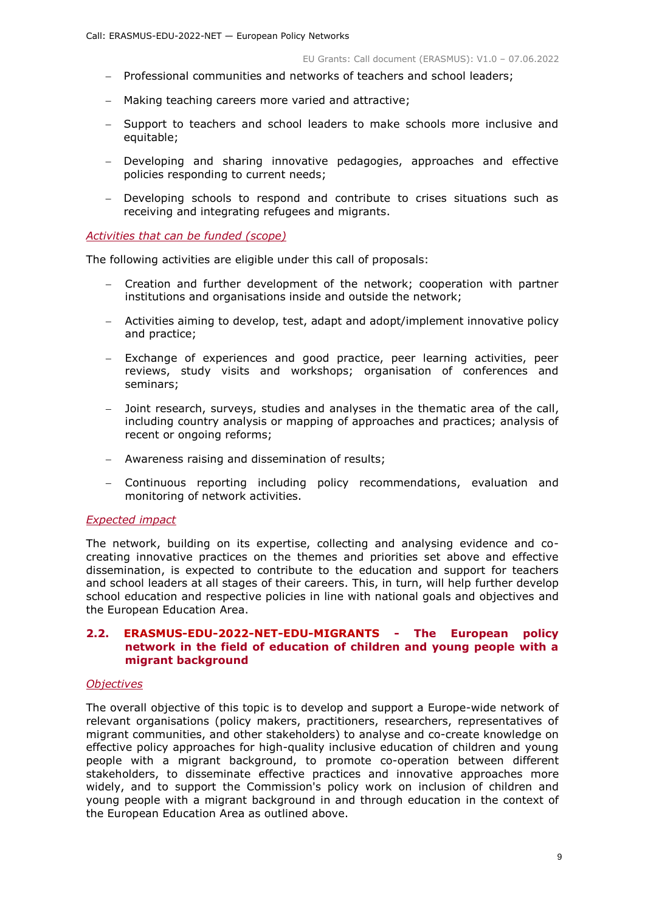- Professional communities and networks of teachers and school leaders;
- Making teaching careers more varied and attractive;
- Support to teachers and school leaders to make schools more inclusive and equitable;
- Developing and sharing innovative pedagogies, approaches and effective policies responding to current needs;
- Developing schools to respond and contribute to crises situations such as receiving and integrating refugees and migrants.

#### <span id="page-8-0"></span>*Activities that can be funded (scope)*

The following activities are eligible under this call of proposals:

- Creation and further development of the network; cooperation with partner institutions and organisations inside and outside the network;
- Activities aiming to develop, test, adapt and adopt/implement innovative policy and practice;
- Exchange of experiences and good practice, peer learning activities, peer reviews, study visits and workshops; organisation of conferences and seminars;
- Joint research, surveys, studies and analyses in the thematic area of the call, including country analysis or mapping of approaches and practices; analysis of recent or ongoing reforms;
- Awareness raising and dissemination of results;
- Continuous reporting including policy recommendations, evaluation and monitoring of network activities.

#### <span id="page-8-1"></span>*Expected impact*

The network, building on its expertise, collecting and analysing evidence and cocreating innovative practices on the themes and priorities set above and effective dissemination, is expected to contribute to the education and support for teachers and school leaders at all stages of their careers. This, in turn, will help further develop school education and respective policies in line with national goals and objectives and the European Education Area.

#### <span id="page-8-2"></span>**2.2. ERASMUS-EDU-2022-NET-EDU-MIGRANTS - The European policy network in the field of education of children and young people with a migrant background**

#### <span id="page-8-3"></span>*Objectives*

The overall objective of this topic is to develop and support a Europe-wide network of relevant organisations (policy makers, practitioners, researchers, representatives of migrant communities, and other stakeholders) to analyse and co-create knowledge on effective policy approaches for high-quality inclusive education of children and young people with a migrant background, to promote co-operation between different stakeholders, to disseminate effective practices and innovative approaches more widely, and to support the Commission's policy work on inclusion of children and young people with a migrant background in and through education in the context of the European Education Area as outlined above.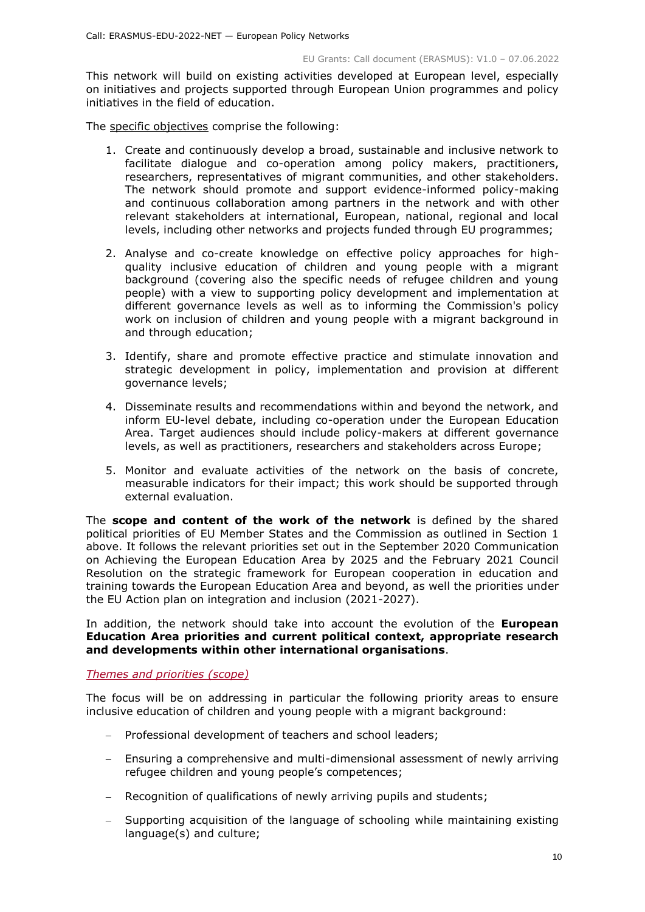This network will build on existing activities developed at European level, especially on initiatives and projects supported through European Union programmes and policy initiatives in the field of education.

The specific objectives comprise the following:

- 1. Create and continuously develop a broad, sustainable and inclusive network to facilitate dialogue and co-operation among policy makers, practitioners, researchers, representatives of migrant communities, and other stakeholders. The network should promote and support evidence-informed policy-making and continuous collaboration among partners in the network and with other relevant stakeholders at international, European, national, regional and local levels, including other networks and projects funded through EU programmes;
- 2. Analyse and co-create knowledge on effective policy approaches for highquality inclusive education of children and young people with a migrant background (covering also the specific needs of refugee children and young people) with a view to supporting policy development and implementation at different governance levels as well as to informing the Commission's policy work on inclusion of children and young people with a migrant background in and through education;
- 3. Identify, share and promote effective practice and stimulate innovation and strategic development in policy, implementation and provision at different governance levels;
- 4. Disseminate results and recommendations within and beyond the network, and inform EU-level debate, including co-operation under the European Education Area. Target audiences should include policy-makers at different governance levels, as well as practitioners, researchers and stakeholders across Europe;
- 5. Monitor and evaluate activities of the network on the basis of concrete, measurable indicators for their impact; this work should be supported through external evaluation.

The **scope and content of the work of the network** is defined by the shared political priorities of EU Member States and the Commission as outlined in Section 1 above. It follows the relevant priorities set out in the September 2020 Communication on Achieving the European Education Area by 2025 and the February 2021 Council Resolution on the strategic framework for European cooperation in education and training towards the European Education Area and beyond, as well the priorities under the EU Action plan on integration and inclusion (2021-2027).

In addition, the network should take into account the evolution of the **European Education Area priorities and current political context, appropriate research and developments within other international organisations**.

<span id="page-9-0"></span>*Themes and priorities (scope)*

The focus will be on addressing in particular the following priority areas to ensure inclusive education of children and young people with a migrant background:

- Professional development of teachers and school leaders:
- Ensuring a comprehensive and multi-dimensional assessment of newly arriving refugee children and young people's competences;
- Recognition of qualifications of newly arriving pupils and students;
- Supporting acquisition of the language of schooling while maintaining existing language(s) and culture;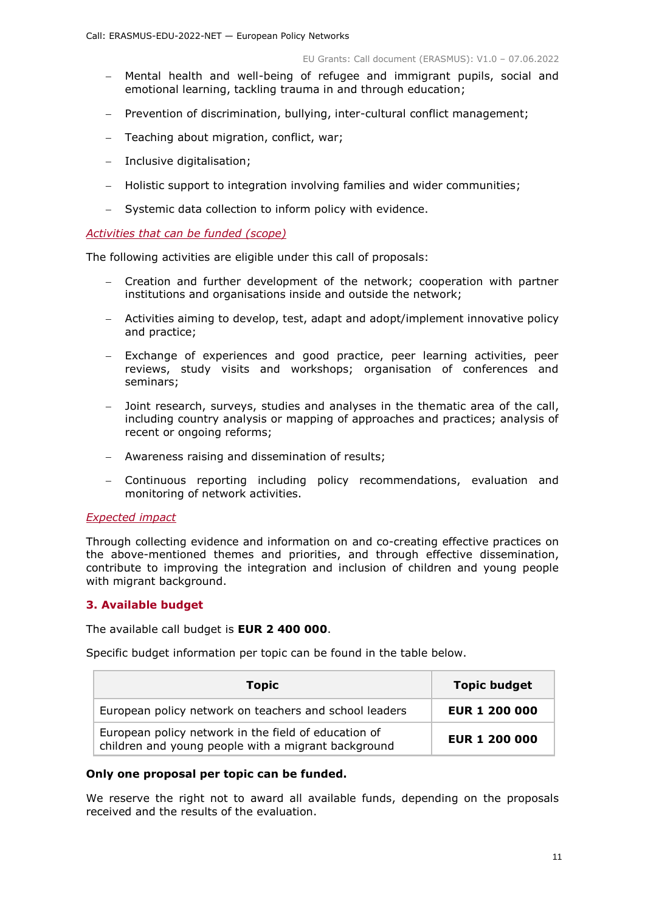- Mental health and well-being of refugee and immigrant pupils, social and emotional learning, tackling trauma in and through education;
- Prevention of discrimination, bullying, inter-cultural conflict management;
- Teaching about migration, conflict, war;
- Inclusive digitalisation;
- Holistic support to integration involving families and wider communities;
- Systemic data collection to inform policy with evidence.

#### <span id="page-10-0"></span>*Activities that can be funded (scope)*

The following activities are eligible under this call of proposals:

- Creation and further development of the network; cooperation with partner institutions and organisations inside and outside the network;
- Activities aiming to develop, test, adapt and adopt/implement innovative policy and practice;
- Exchange of experiences and good practice, peer learning activities, peer reviews, study visits and workshops; organisation of conferences and seminars;
- Joint research, surveys, studies and analyses in the thematic area of the call, including country analysis or mapping of approaches and practices; analysis of recent or ongoing reforms;
- Awareness raising and dissemination of results;
- Continuous reporting including policy recommendations, evaluation and monitoring of network activities.

# <span id="page-10-1"></span>*Expected impact*

Through collecting evidence and information on and co-creating effective practices on the above-mentioned themes and priorities, and through effective dissemination, contribute to improving the integration and inclusion of children and young people with migrant background.

# <span id="page-10-2"></span>**3. Available budget**

The available call budget is **EUR 2 400 000**.

Specific budget information per topic can be found in the table below.

| <b>Topic</b>                                                                                                | <b>Topic budget</b>  |
|-------------------------------------------------------------------------------------------------------------|----------------------|
| European policy network on teachers and school leaders                                                      | <b>EUR 1 200 000</b> |
| European policy network in the field of education of<br>children and young people with a migrant background | <b>EUR 1 200 000</b> |

#### **Only one proposal per topic can be funded.**

We reserve the right not to award all available funds, depending on the proposals received and the results of the evaluation.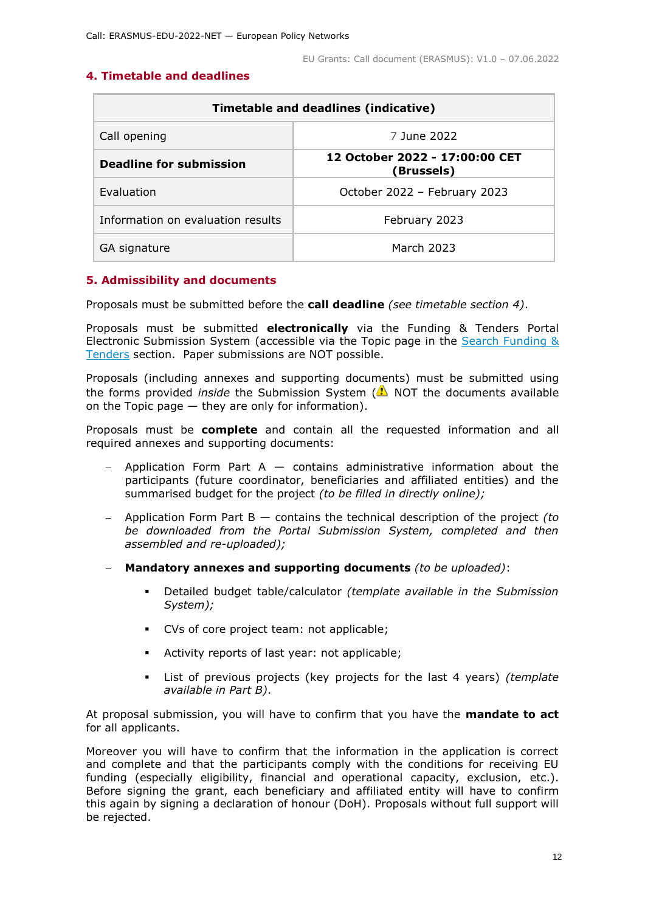# <span id="page-11-0"></span>**4. Timetable and deadlines**

| <b>Timetable and deadlines (indicative)</b> |                                              |  |  |  |
|---------------------------------------------|----------------------------------------------|--|--|--|
| Call opening                                | 7 June 2022                                  |  |  |  |
| Deadline for submission                     | 12 October 2022 - 17:00:00 CET<br>(Brussels) |  |  |  |
| Evaluation                                  | October 2022 - February 2023                 |  |  |  |
| Information on evaluation results           | February 2023                                |  |  |  |
| GA signature                                | March 2023                                   |  |  |  |

# <span id="page-11-1"></span>**5. Admissibility and documents**

Proposals must be submitted before the **call deadline** *(see timetable section 4)*.

Proposals must be submitted **electronically** via the Funding & Tenders Portal Electronic Submission System (accessible via the Topic page in the [Search Funding &](https://ec.europa.eu/info/funding-tenders/opportunities/portal/screen/opportunities/topic-search;freeTextSearchKeyword=;typeCodes=0,1;statusCodes=31094501,31094502,31094503;programCode=null;programDivisionCode=null;focusAreaCode=null;crossCuttingPriorityCode=null;callCode=Default;sortQuery=openingDate;orderBy=asc;onlyTenders=false;topicListKey=topicSearchTablePageState)  [Tenders](https://ec.europa.eu/info/funding-tenders/opportunities/portal/screen/opportunities/topic-search;freeTextSearchKeyword=;typeCodes=0,1;statusCodes=31094501,31094502,31094503;programCode=null;programDivisionCode=null;focusAreaCode=null;crossCuttingPriorityCode=null;callCode=Default;sortQuery=openingDate;orderBy=asc;onlyTenders=false;topicListKey=topicSearchTablePageState) section. Paper submissions are NOT possible.

Proposals (including annexes and supporting documents) must be submitted using the forms provided *inside* the Submission System (ANOT the documents available on the Topic page — they are only for information).

Proposals must be **complete** and contain all the requested information and all required annexes and supporting documents:

- Application Form Part  $A -$  contains administrative information about the participants (future coordinator, beneficiaries and affiliated entities) and the summarised budget for the project *(to be filled in directly online);*
- Application Form Part B contains the technical description of the project *(to be downloaded from the Portal Submission System, completed and then assembled and re-uploaded);*
- **Mandatory annexes and supporting documents** *(to be uploaded)*:
	- Detailed budget table/calculator *(template available in the Submission System);*
	- CVs of core project team: not applicable;
	- Activity reports of last year: not applicable;
	- List of previous projects (key projects for the last 4 years) *(template available in Part B)*.

At proposal submission, you will have to confirm that you have the **mandate to act** for all applicants.

Moreover you will have to confirm that the information in the application is correct and complete and that the participants comply with the conditions for receiving EU funding (especially eligibility, financial and operational capacity, exclusion, etc.). Before signing the grant, each beneficiary and affiliated entity will have to confirm this again by signing a declaration of honour (DoH). Proposals without full support will be rejected.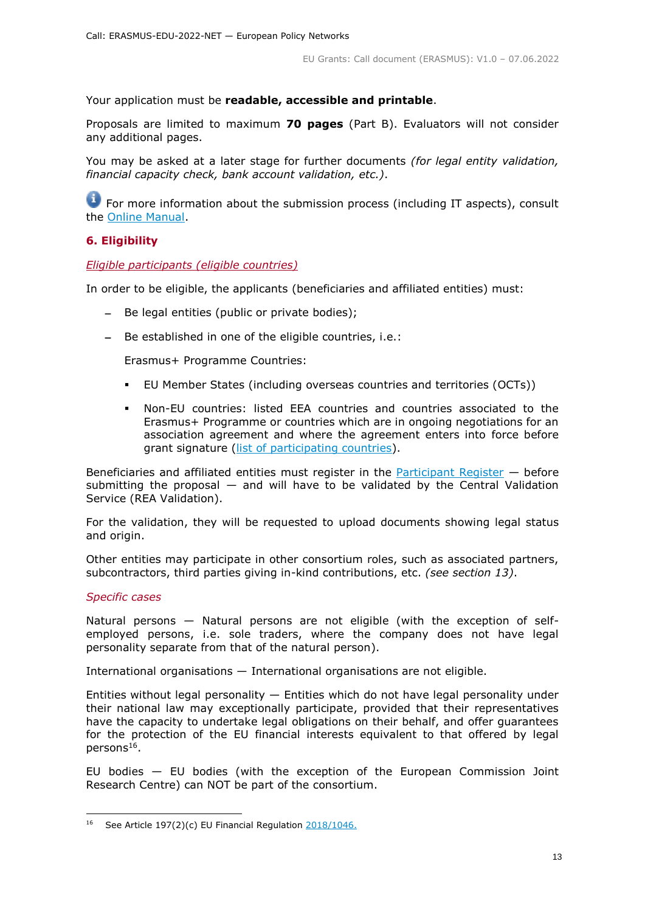Your application must be **readable, accessible and printable**.

Proposals are limited to maximum **70 pages** (Part B). Evaluators will not consider any additional pages.

You may be asked at a later stage for further documents *(for legal entity validation, financial capacity check, bank account validation, etc.)*.

**T** For more information about the submission process (including IT aspects), consult the [Online Manual.](https://ec.europa.eu/info/funding-tenders/opportunities/docs/2021-2027/common/guidance/om_en.pdf)

# <span id="page-12-0"></span>**6. Eligibility**

# <span id="page-12-1"></span>*Eligible participants (eligible countries)*

In order to be eligible, the applicants (beneficiaries and affiliated entities) must:

- Be legal entities (public or private bodies);
- Be established in one of the eligible countries, i.e.:

Erasmus+ Programme Countries:

- EU Member States (including overseas countries and territories (OCTs))
- Non-EU countries: listed EEA countries and countries associated to the Erasmus+ Programme or countries which are in ongoing negotiations for an association agreement and where the agreement enters into force before grant signature [\(list of participating countries\)](https://ec.europa.eu/info/funding-tenders/opportunities/docs/2021-2027/erasmus/guidance/list-3rd-country-participation_erasmus_en.pdf).

Beneficiaries and affiliated entities must register in the [Participant Register](https://ec.europa.eu/info/funding-tenders/opportunities/portal/screen/how-to-participate/participant-register) — before submitting the proposal  $-$  and will have to be validated by the Central Validation Service (REA Validation).

For the validation, they will be requested to upload documents showing legal status and origin.

Other entities may participate in other consortium roles, such as associated partners, subcontractors, third parties giving in-kind contributions, etc. *(see section 13)*.

# *Specific cases*

-

Natural persons — Natural persons are not eligible (with the exception of selfemployed persons, i.e. sole traders, where the company does not have legal personality separate from that of the natural person).

International organisations — International organisations are not eligible.

Entities without legal personality  $-$  Entities which do not have legal personality under their national law may exceptionally participate, provided that their representatives have the capacity to undertake legal obligations on their behalf, and offer guarantees for the protection of the EU financial interests equivalent to that offered by legal persons<sup>16</sup>.

EU bodies — EU bodies (with the exception of the European Commission Joint Research Centre) can NOT be part of the consortium.

<sup>&</sup>lt;sup>16</sup> See Article 197(2)(c) EU Financial Regulation  $2018/1046$ .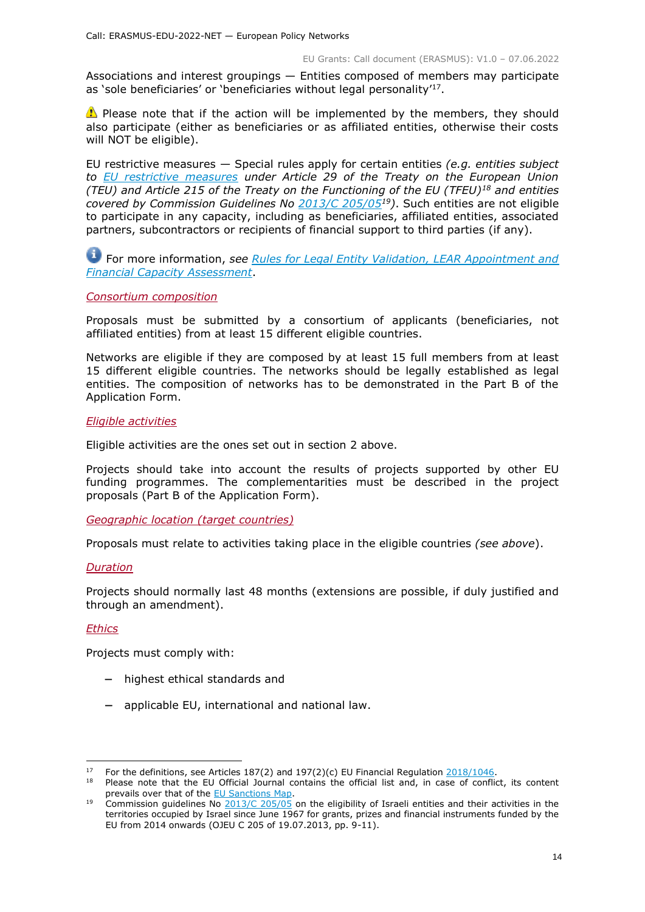Associations and interest groupings — Entities composed of members may participate as 'sole beneficiaries' or 'beneficiaries without legal personality'<sup>17</sup>.

**Please note that if the action will be implemented by the members, they should** also participate (either as beneficiaries or as affiliated entities, otherwise their costs will NOT be eligible).

EU restrictive measures — Special rules apply for certain entities *(e.g. entities subject to [EU restrictive measures](http://www.sanctionsmap.eu/) under Article 29 of the Treaty on the European Union (TEU) and Article 215 of the Treaty on the Functioning of the EU (TFEU)<sup>18</sup> and entities covered by Commission Guidelines No [2013/C 205/05](http://eur-lex.europa.eu/LexUriServ/LexUriServ.do?uri=OJ:C:2013:205:FULL:EN:PDF)<sup>19</sup>)*. Such entities are not eligible to participate in any capacity, including as beneficiaries, affiliated entities, associated partners, subcontractors or recipients of financial support to third parties (if any).

For more information, *see [Rules for Legal Entity Validation, LEAR Appointment and](https://ec.europa.eu/info/funding-tenders/opportunities/docs/2021-2027/common/guidance/rules-lev-lear-fca_en.pdf)  [Financial Capacity Assessment](https://ec.europa.eu/info/funding-tenders/opportunities/docs/2021-2027/common/guidance/rules-lev-lear-fca_en.pdf)*.

#### <span id="page-13-0"></span>*Consortium composition*

Proposals must be submitted by a consortium of applicants (beneficiaries, not affiliated entities) from at least 15 different eligible countries.

Networks are eligible if they are composed by at least 15 full members from at least 15 different eligible countries. The networks should be legally established as legal entities. The composition of networks has to be demonstrated in the Part B of the Application Form.

#### <span id="page-13-1"></span>*Eligible activities*

Eligible activities are the ones set out in section 2 above.

Projects should take into account the results of projects supported by other EU funding programmes. The complementarities must be described in the project proposals (Part B of the Application Form).

<span id="page-13-2"></span>*Geographic location (target countries)*

Proposals must relate to activities taking place in the eligible countries *(see above*).

#### <span id="page-13-3"></span>*Duration*

<span id="page-13-4"></span>Projects should normally last 48 months (extensions are possible, if duly justified and through an amendment).

# *Ethics*

-

Projects must comply with:

- highest ethical standards and
- applicable EU, international and national law.

<sup>&</sup>lt;sup>17</sup> For the definitions, see Articles 187(2) and 197(2)(c) EU Financial Regulation  $2018/1046$ .

Please note that the EU Official Journal contains the official list and, in case of conflict, its content prevails over that of the **EU Sanctions Map**.

<sup>19</sup> Commission guidelines No [2013/C 205/05](http://eur-lex.europa.eu/LexUriServ/LexUriServ.do?uri=OJ:C:2013:205:FULL:EN:PDF) on the eligibility of Israeli entities and their activities in the territories occupied by Israel since June 1967 for grants, prizes and financial instruments funded by the EU from 2014 onwards (OJEU C 205 of 19.07.2013, pp. 9-11).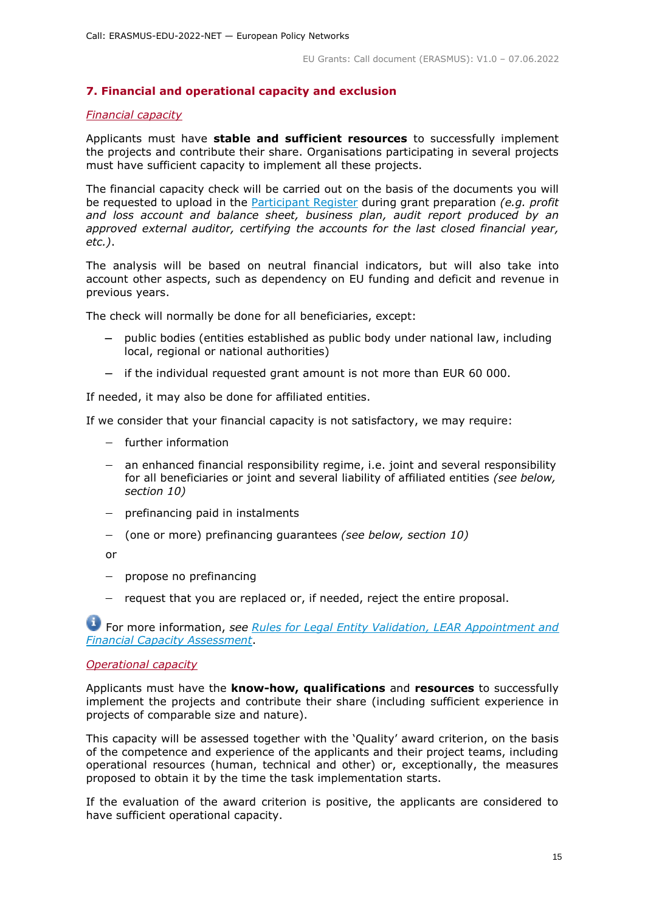# <span id="page-14-0"></span>**7. Financial and operational capacity and exclusion**

#### <span id="page-14-1"></span>*Financial capacity*

Applicants must have **stable and sufficient resources** to successfully implement the projects and contribute their share. Organisations participating in several projects must have sufficient capacity to implement all these projects.

The financial capacity check will be carried out on the basis of the documents you will be requested to upload in the [Participant Register](https://ec.europa.eu/info/funding-tenders/opportunities/portal/screen/how-to-participate/participant-register) during grant preparation *(e.g. profit and loss account and balance sheet, business plan, audit report produced by an approved external auditor, certifying the accounts for the last closed financial year, etc.)*.

The analysis will be based on neutral financial indicators, but will also take into account other aspects, such as dependency on EU funding and deficit and revenue in previous years.

The check will normally be done for all beneficiaries, except:

- public bodies (entities established as public body under national law, including local, regional or national authorities)
- if the individual requested grant amount is not more than EUR 60 000.

If needed, it may also be done for affiliated entities.

If we consider that your financial capacity is not satisfactory, we may require:

- further information
- an enhanced financial responsibility regime, i.e. joint and several responsibility for all beneficiaries or joint and several liability of affiliated entities *(see below, section 10)*
- $-$  prefinancing paid in instalments
- (one or more) prefinancing guarantees *(see below, section 10)*

or

- $-$  propose no prefinancing
- request that you are replaced or, if needed, reject the entire proposal.

For more information, *see Rules for [Legal Entity Validation, LEAR Appointment and](https://ec.europa.eu/info/funding-tenders/opportunities/docs/2021-2027/common/guidance/rules-lev-lear-fca_en.pdf)  [Financial Capacity Assessment](https://ec.europa.eu/info/funding-tenders/opportunities/docs/2021-2027/common/guidance/rules-lev-lear-fca_en.pdf)*.

#### <span id="page-14-2"></span>*Operational capacity*

Applicants must have the **know-how, qualifications** and **resources** to successfully implement the projects and contribute their share (including sufficient experience in projects of comparable size and nature).

This capacity will be assessed together with the 'Quality' award criterion, on the basis of the competence and experience of the applicants and their project teams, including operational resources (human, technical and other) or, exceptionally, the measures proposed to obtain it by the time the task implementation starts.

If the evaluation of the award criterion is positive, the applicants are considered to have sufficient operational capacity.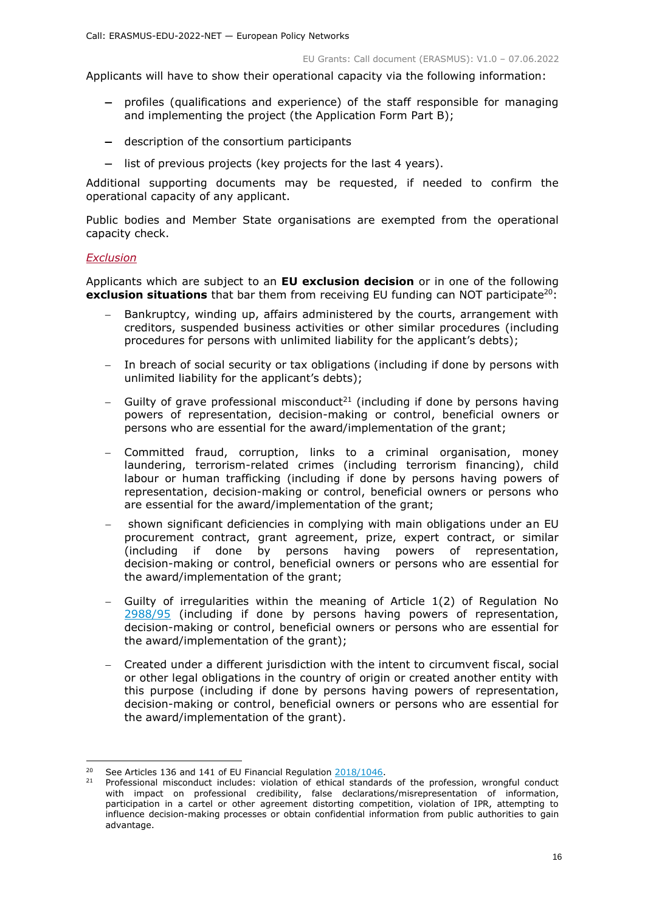Applicants will have to show their operational capacity via the following information:

- profiles (qualifications and experience) of the staff responsible for managing and implementing the project (the Application Form Part B);
- description of the consortium participants
- list of previous projects (key projects for the last 4 years).

Additional supporting documents may be requested, if needed to confirm the operational capacity of any applicant.

Public bodies and Member State organisations are exempted from the operational capacity check.

# <span id="page-15-0"></span>*Exclusion*

Applicants which are subject to an **EU exclusion decision** or in one of the following **exclusion situations** that bar them from receiving EU funding can NOT participate<sup>20</sup>:

- Bankruptcy, winding up, affairs administered by the courts, arrangement with creditors, suspended business activities or other similar procedures (including procedures for persons with unlimited liability for the applicant's debts);
- In breach of social security or tax obligations (including if done by persons with unlimited liability for the applicant's debts);
- Guilty of grave professional misconduct<sup>21</sup> (including if done by persons having powers of representation, decision-making or control, beneficial owners or persons who are essential for the award/implementation of the grant;
- Committed fraud, corruption, links to a criminal organisation, money laundering, terrorism-related crimes (including terrorism financing), child labour or human trafficking (including if done by persons having powers of representation, decision-making or control, beneficial owners or persons who are essential for the award/implementation of the grant;
- shown significant deficiencies in complying with main obligations under an EU procurement contract, grant agreement, prize, expert contract, or similar (including if done by persons having powers of representation, decision-making or control, beneficial owners or persons who are essential for the award/implementation of the grant;
- Guilty of irregularities within the meaning of Article 1(2) of Regulation No [2988/95](http://eur-lex.europa.eu/legal-content/EN/ALL/?uri=CELEX:31995R2988&qid=1501598622514) (including if done by persons having powers of representation, decision-making or control, beneficial owners or persons who are essential for the award/implementation of the grant);
- Created under a different jurisdiction with the intent to circumvent fiscal, social or other legal obligations in the country of origin or created another entity with this purpose (including if done by persons having powers of representation, decision-making or control, beneficial owners or persons who are essential for the award/implementation of the grant).

<sup>-</sup><sup>20</sup> See Articles 136 and 141 of EU Financial Regulation [2018/1046.](https://eur-lex.europa.eu/legal-content/EN/ALL/?uri=CELEX:32018R1046&qid=1535046024012)

Professional misconduct includes: violation of ethical standards of the profession, wrongful conduct with impact on professional credibility, false declarations/misrepresentation of information, participation in a cartel or other agreement distorting competition, violation of IPR, attempting to influence decision-making processes or obtain confidential information from public authorities to gain advantage.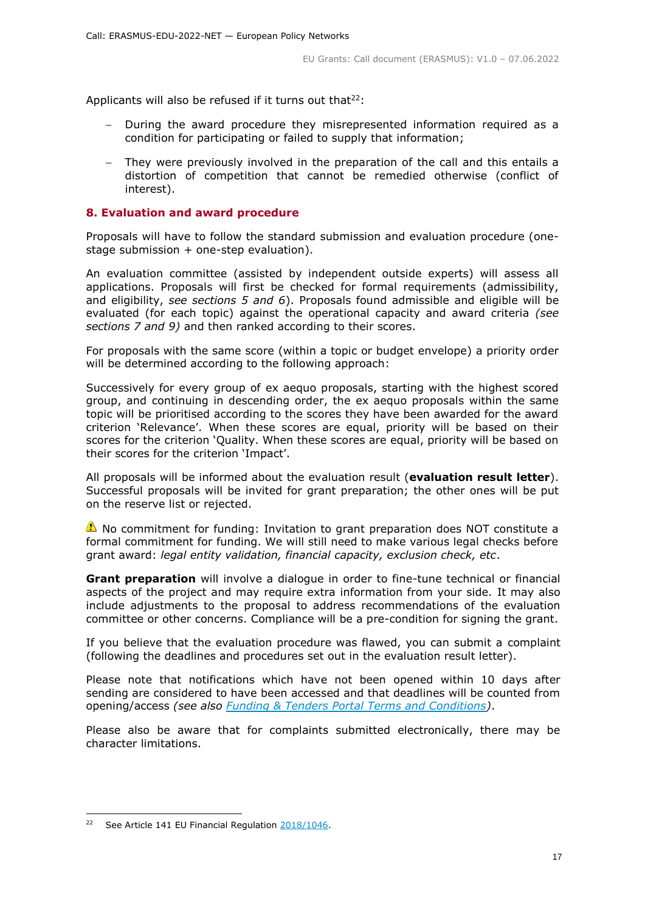Applicants will also be refused if it turns out that $22$ :

- During the award procedure they misrepresented information required as a condition for participating or failed to supply that information;
- They were previously involved in the preparation of the call and this entails a distortion of competition that cannot be remedied otherwise (conflict of interest).

# <span id="page-16-0"></span>**8. Evaluation and award procedure**

Proposals will have to follow the standard submission and evaluation procedure (onestage submission + one-step evaluation).

An evaluation committee (assisted by independent outside experts) will assess all applications. Proposals will first be checked for formal requirements (admissibility, and eligibility, *see sections 5 and 6*). Proposals found admissible and eligible will be evaluated (for each topic) against the operational capacity and award criteria *(see sections 7 and 9)* and then ranked according to their scores.

For proposals with the same score (within a topic or budget envelope) a priority order will be determined according to the following approach:

Successively for every group of ex aequo proposals, starting with the highest scored group, and continuing in descending order, the ex aequo proposals within the same topic will be prioritised according to the scores they have been awarded for the award criterion 'Relevance'. When these scores are equal, priority will be based on their scores for the criterion 'Quality. When these scores are equal, priority will be based on their scores for the criterion 'Impact'.

All proposals will be informed about the evaluation result (**evaluation result letter**). Successful proposals will be invited for grant preparation; the other ones will be put on the reserve list or rejected.

No commitment for funding: Invitation to grant preparation does NOT constitute a formal commitment for funding. We will still need to make various legal checks before grant award: *legal entity validation, financial capacity, exclusion check, etc*.

**Grant preparation** will involve a dialogue in order to fine-tune technical or financial aspects of the project and may require extra information from your side. It may also include adjustments to the proposal to address recommendations of the evaluation committee or other concerns. Compliance will be a pre-condition for signing the grant.

If you believe that the evaluation procedure was flawed, you can submit a complaint (following the deadlines and procedures set out in the evaluation result letter).

Please note that notifications which have not been opened within 10 days after sending are considered to have been accessed and that deadlines will be counted from opening/access *(see also [Funding & Tenders Portal Terms and Conditions\)](https://ec.europa.eu/info/funding-tenders/opportunities/docs/2021-2027/common/ftp/tc_en.pdf)*.

<span id="page-16-1"></span>Please also be aware that for complaints submitted electronically, there may be character limitations.

-

<sup>&</sup>lt;sup>22</sup> See Article 141 EU Financial Regulation [2018/1046.](https://eur-lex.europa.eu/legal-content/EN/ALL/?uri=CELEX:32018R1046&qid=1535046024012)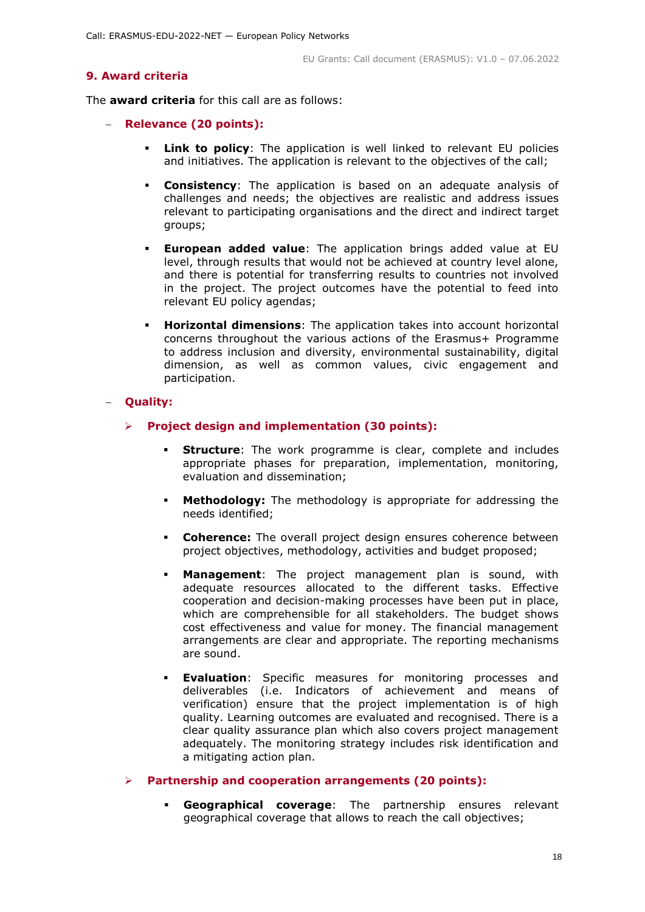# **9. Award criteria**

The **award criteria** for this call are as follows:

- **Relevance (20 points):**
	- **Link to policy**: The application is well linked to relevant EU policies and initiatives. The application is relevant to the objectives of the call;
	- **Consistency**: The application is based on an adequate analysis of challenges and needs; the objectives are realistic and address issues relevant to participating organisations and the direct and indirect target groups;
	- **European added value**: The application brings added value at EU level, through results that would not be achieved at country level alone, and there is potential for transferring results to countries not involved in the project. The project outcomes have the potential to feed into relevant EU policy agendas;
	- **Horizontal dimensions**: The application takes into account horizontal concerns throughout the various actions of the Erasmus+ Programme to address inclusion and diversity, environmental sustainability, digital dimension, as well as common values, civic engagement and participation.

# **Quality:**

- **Project design and implementation (30 points):**
	- **Structure**: The work programme is clear, complete and includes appropriate phases for preparation, implementation, monitoring, evaluation and dissemination;
	- **Methodology:** The methodology is appropriate for addressing the needs identified;
	- **Coherence:** The overall project design ensures coherence between project objectives, methodology, activities and budget proposed;
	- **Management**: The project management plan is sound, with adequate resources allocated to the different tasks. Effective cooperation and decision-making processes have been put in place, which are comprehensible for all stakeholders. The budget shows cost effectiveness and value for money. The financial management arrangements are clear and appropriate. The reporting mechanisms are sound.
	- **Evaluation**: Specific measures for monitoring processes and deliverables (i.e. Indicators of achievement and means of verification) ensure that the project implementation is of high quality. Learning outcomes are evaluated and recognised. There is a clear quality assurance plan which also covers project management adequately. The monitoring strategy includes risk identification and a mitigating action plan.

# **Partnership and cooperation arrangements (20 points):**

 **Geographical coverage**: The partnership ensures relevant geographical coverage that allows to reach the call objectives;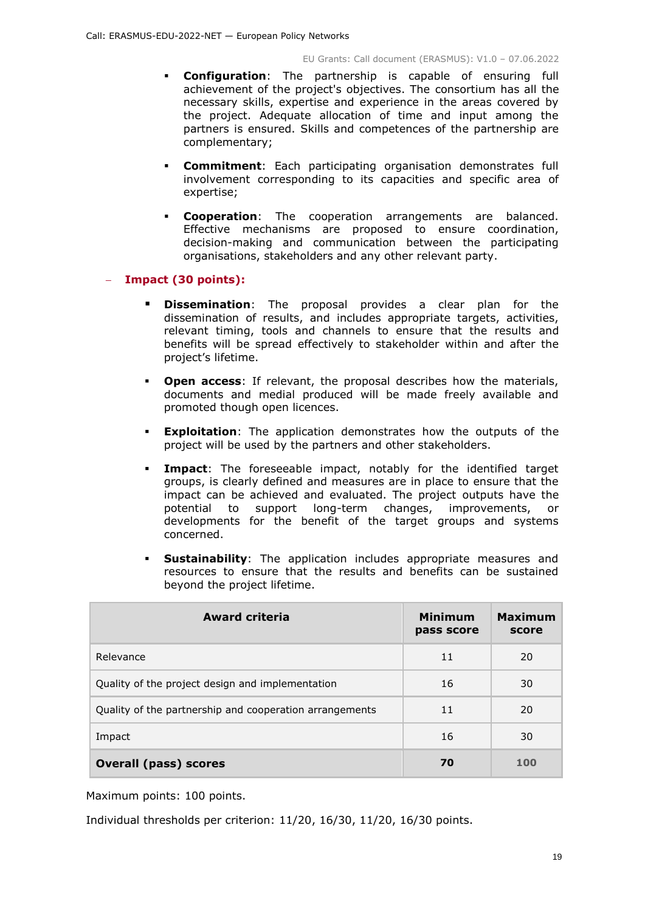- **Configuration**: The partnership is capable of ensuring full achievement of the project's objectives. The consortium has all the necessary skills, expertise and experience in the areas covered by the project. Adequate allocation of time and input among the partners is ensured. Skills and competences of the partnership are complementary;
- **Commitment**: Each participating organisation demonstrates full involvement corresponding to its capacities and specific area of expertise;
- **Cooperation**: The cooperation arrangements are balanced. Effective mechanisms are proposed to ensure coordination, decision-making and communication between the participating organisations, stakeholders and any other relevant party.

# **Impact (30 points):**

- **Dissemination**: The proposal provides a clear plan for the dissemination of results, and includes appropriate targets, activities, relevant timing, tools and channels to ensure that the results and benefits will be spread effectively to stakeholder within and after the project's lifetime.
- **Open access:** If relevant, the proposal describes how the materials, documents and medial produced will be made freely available and promoted though open licences.
- **Exploitation**: The application demonstrates how the outputs of the project will be used by the partners and other stakeholders.
- **Impact**: The foreseeable impact, notably for the identified target groups, is clearly defined and measures are in place to ensure that the impact can be achieved and evaluated. The project outputs have the potential to support long-term changes, improvements, or developments for the benefit of the target groups and systems concerned.
- **Sustainability:** The application includes appropriate measures and resources to ensure that the results and benefits can be sustained beyond the project lifetime.

| <b>Award criteria</b>                                   | <b>Minimum</b><br>pass score | <b>Maximum</b><br>score |
|---------------------------------------------------------|------------------------------|-------------------------|
| Relevance                                               | 11                           | 20                      |
| Quality of the project design and implementation        | 16                           | 30                      |
| Quality of the partnership and cooperation arrangements | 11                           | 20                      |
| Impact                                                  | 16                           | 30                      |
| <b>Overall (pass) scores</b>                            | 70                           | 100                     |

Maximum points: 100 points.

Individual thresholds per criterion: 11/20, 16/30, 11/20, 16/30 points.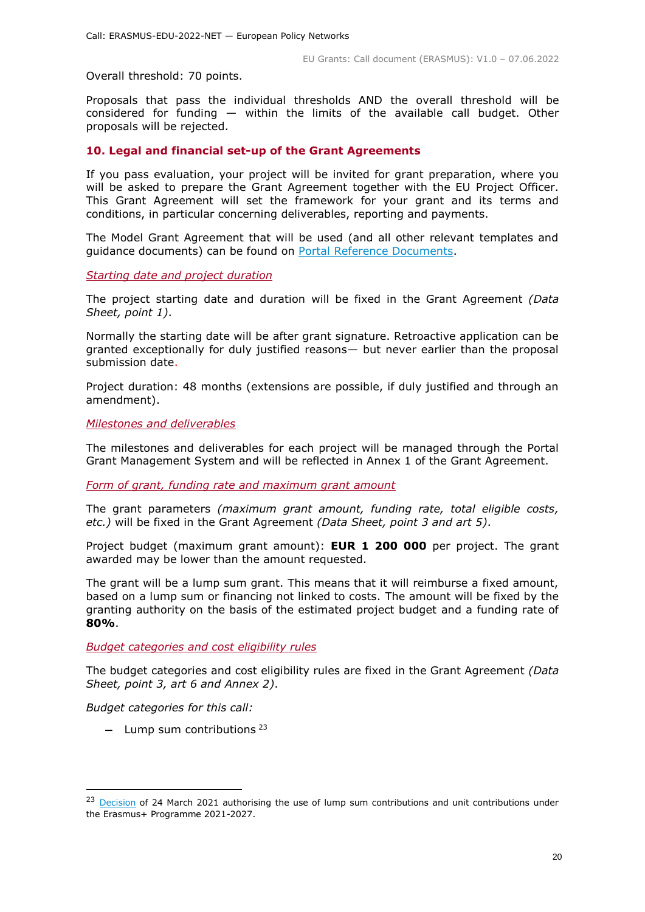Overall threshold: 70 points.

Proposals that pass the individual thresholds AND the overall threshold will be considered for funding — within the limits of the available call budget. Other proposals will be rejected.

# <span id="page-19-0"></span>**10. Legal and financial set-up of the Grant Agreements**

If you pass evaluation, your project will be invited for grant preparation, where you will be asked to prepare the Grant Agreement together with the EU Project Officer. This Grant Agreement will set the framework for your grant and its terms and conditions, in particular concerning deliverables, reporting and payments.

The Model Grant Agreement that will be used (and all other relevant templates and guidance documents) can be found on [Portal Reference Documents.](https://ec.europa.eu/info/funding-tenders/opportunities/portal/screen/how-to-participate/reference-documents)

<span id="page-19-1"></span>*Starting date and project duration*

The project starting date and duration will be fixed in the Grant Agreement *(Data Sheet, point 1)*.

Normally the starting date will be after grant signature. Retroactive application can be granted exceptionally for duly justified reasons— but never earlier than the proposal submission date.

Project duration: 48 months (extensions are possible, if duly justified and through an amendment).

<span id="page-19-2"></span>*Milestones and deliverables*

The milestones and deliverables for each project will be managed through the Portal Grant Management System and will be reflected in Annex 1 of the Grant Agreement.

<span id="page-19-3"></span>*Form of grant, funding rate and maximum grant amount*

The grant parameters *(maximum grant amount, funding rate, total eligible costs, etc.)* will be fixed in the Grant Agreement *(Data Sheet, point 3 and art 5)*.

Project budget (maximum grant amount): **EUR 1 200 000** per project. The grant awarded may be lower than the amount requested.

The grant will be a lump sum grant. This means that it will reimburse a fixed amount, based on a lump sum or financing not linked to costs. The amount will be fixed by the granting authority on the basis of the estimated project budget and a funding rate of **80%**.

<span id="page-19-4"></span>*Budget categories and cost eligibility rules*

The budget categories and cost eligibility rules are fixed in the Grant Agreement *(Data Sheet, point 3, art 6 and Annex 2)*.

*Budget categories for this call:*

-

- Lump sum contributions  $23$ 

<sup>&</sup>lt;sup>23</sup> [Decision](https://ec.europa.eu/info/funding-tenders/opportunities/docs/2021-2027/erasmus/guidance/ls-and-unit-cost-decision_erasmus_en.pdf) of 24 March 2021 authorising the use of lump sum contributions and unit contributions under the Erasmus+ Programme 2021-2027.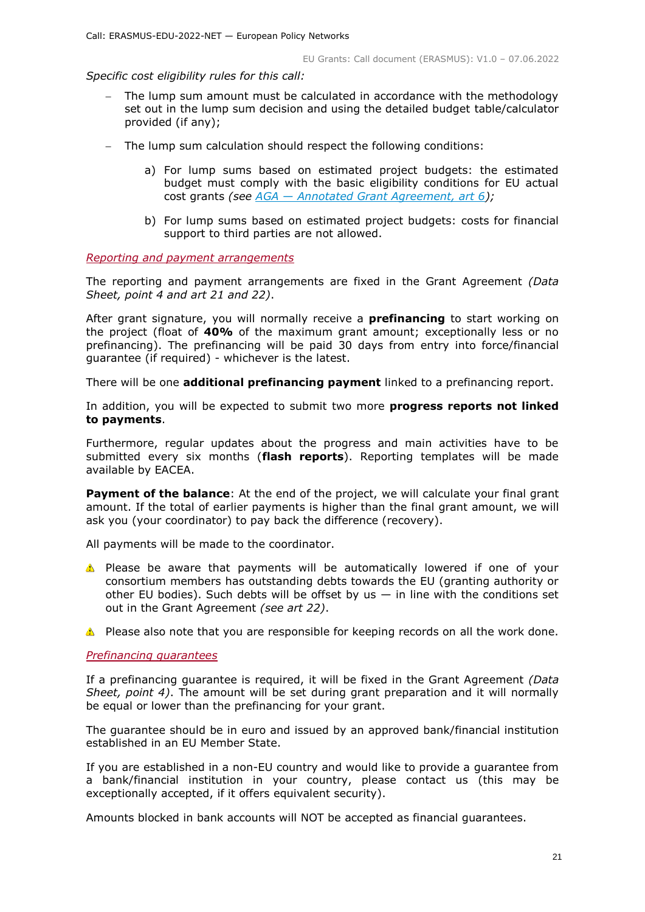*Specific cost eligibility rules for this call:* 

- The lump sum amount must be calculated in accordance with the methodology set out in the lump sum decision and using the detailed budget table/calculator provided (if any);
- The lump sum calculation should respect the following conditions:
	- a) For lump sums based on estimated project budgets: the estimated budget must comply with the basic eligibility conditions for EU actual cost grants *(see AGA — [Annotated Grant Agreement, art 6\)](https://ec.europa.eu/info/funding-tenders/opportunities/docs/2021-2027/common/guidance/aga_en.pdf);*
	- b) For lump sums based on estimated project budgets: costs for financial support to third parties are not allowed.

<span id="page-20-0"></span>*Reporting and payment arrangements* 

The reporting and payment arrangements are fixed in the Grant Agreement *(Data Sheet, point 4 and art 21 and 22)*.

After grant signature, you will normally receive a **prefinancing** to start working on the project (float of **40%** of the maximum grant amount; exceptionally less or no prefinancing). The prefinancing will be paid 30 days from entry into force/financial guarantee (if required) - whichever is the latest.

There will be one **additional prefinancing payment** linked to a prefinancing report.

In addition, you will be expected to submit two more **progress reports not linked to payments**.

Furthermore, regular updates about the progress and main activities have to be submitted every six months (**flash reports**). Reporting templates will be made available by EACEA.

**Payment of the balance**: At the end of the project, we will calculate your final grant amount. If the total of earlier payments is higher than the final grant amount, we will ask you (your coordinator) to pay back the difference (recovery).

All payments will be made to the coordinator.

- Please be aware that payments will be automatically lowered if one of your consortium members has outstanding debts towards the EU (granting authority or other EU bodies). Such debts will be offset by us  $-$  in line with the conditions set out in the Grant Agreement *(see art 22)*.
- Please also note that you are responsible for keeping records on all the work done.

# <span id="page-20-1"></span>*Prefinancing guarantees*

If a prefinancing guarantee is required, it will be fixed in the Grant Agreement *(Data Sheet, point 4)*. The amount will be set during grant preparation and it will normally be equal or lower than the prefinancing for your grant.

The guarantee should be in euro and issued by an approved bank/financial institution established in an EU Member State.

If you are established in a non-EU country and would like to provide a guarantee from a bank/financial institution in your country, please contact us (this may be exceptionally accepted, if it offers equivalent security).

Amounts blocked in bank accounts will NOT be accepted as financial guarantees.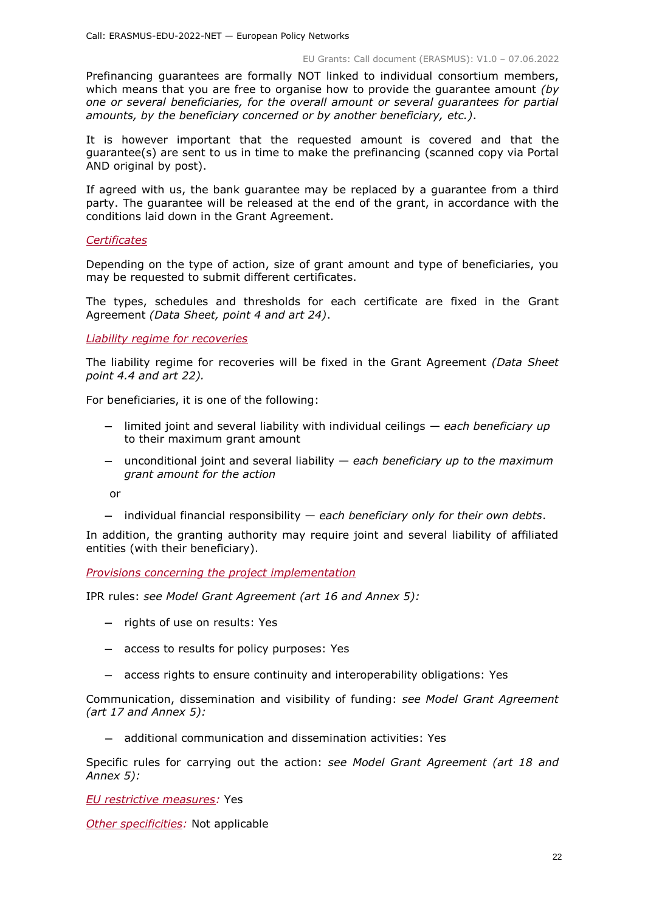Prefinancing guarantees are formally NOT linked to individual consortium members, which means that you are free to organise how to provide the guarantee amount *(by one or several beneficiaries, for the overall amount or several guarantees for partial amounts, by the beneficiary concerned or by another beneficiary, etc.)*.

It is however important that the requested amount is covered and that the guarantee(s) are sent to us in time to make the prefinancing (scanned copy via Portal AND original by post).

If agreed with us, the bank guarantee may be replaced by a guarantee from a third party. The guarantee will be released at the end of the grant, in accordance with the conditions laid down in the Grant Agreement.

# <span id="page-21-0"></span>*Certificates*

Depending on the type of action, size of grant amount and type of beneficiaries, you may be requested to submit different certificates.

The types, schedules and thresholds for each certificate are fixed in the Grant Agreement *(Data Sheet, point 4 and art 24)*.

#### <span id="page-21-1"></span>*Liability regime for recoveries*

The liability regime for recoveries will be fixed in the Grant Agreement *(Data Sheet point 4.4 and art 22).*

For beneficiaries, it is one of the following:

- limited joint and several liability with individual ceilings *each beneficiary up*  to their maximum grant amount
- unconditional joint and several liability *each beneficiary up to the maximum grant amount for the action*

or

individual financial responsibility — *each beneficiary only for their own debts*.

In addition, the granting authority may require joint and several liability of affiliated entities (with their beneficiary).

<span id="page-21-2"></span>*Provisions concerning the project implementation*

IPR rules: *see Model Grant Agreement (art 16 and Annex 5):*

- $-$  rights of use on results: Yes
- access to results for policy purposes: Yes
- access rights to ensure continuity and interoperability obligations: Yes

Communication, dissemination and visibility of funding: *see Model Grant Agreement (art 17 and Annex 5):*

additional communication and dissemination activities: Yes

Specific rules for carrying out the action: *see Model Grant Agreement (art 18 and Annex 5):*

<span id="page-21-3"></span>*EU restrictive measures:* Yes

<span id="page-21-4"></span>*Other specificities:* Not applicable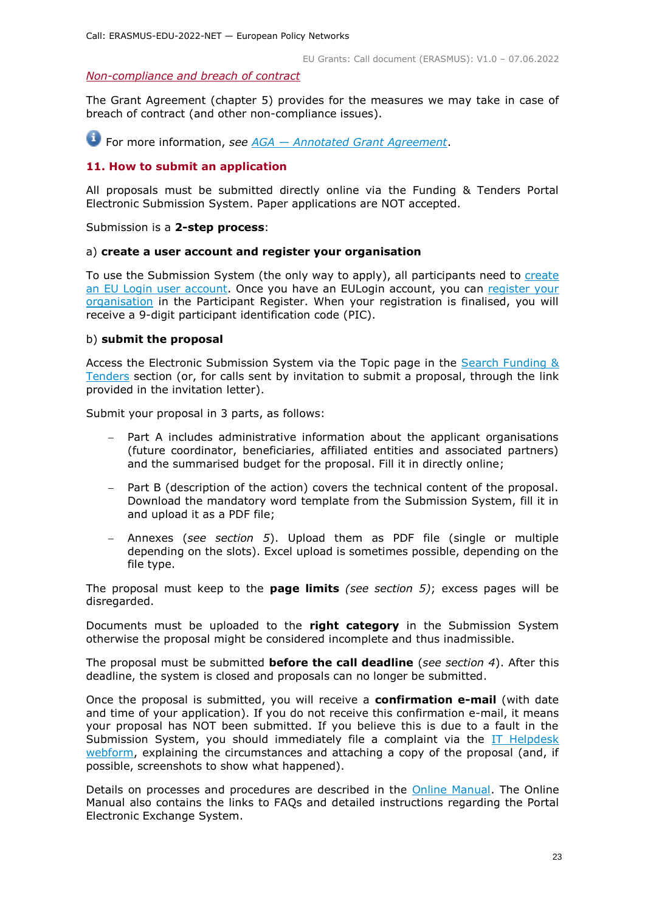#### <span id="page-22-0"></span>*Non-compliance and breach of contract*

The Grant Agreement (chapter 5) provides for the measures we may take in case of breach of contract (and other non-compliance issues).

For more information, *see AGA — [Annotated Grant Agreement](https://ec.europa.eu/info/funding-tenders/opportunities/docs/2021-2027/common/guidance/aga_en.pdf)*.

# <span id="page-22-1"></span>**11. How to submit an application**

All proposals must be submitted directly online via the Funding & Tenders Portal Electronic Submission System. Paper applications are NOT accepted.

Submission is a **2-step process**:

#### a) **create a user account and register your organisation**

To use the Submission System (the only way to apply), all participants need to create [an EU Login user account.](https://webgate.ec.europa.eu/cas/eim/external/register.cgi) Once you have an EULogin account, you can [register your](https://ec.europa.eu/info/funding-tenders/opportunities/portal/screen/how-to-participate/participant-register)  [organisation](https://ec.europa.eu/info/funding-tenders/opportunities/portal/screen/how-to-participate/participant-register) in the Participant Register. When your registration is finalised, you will receive a 9-digit participant identification code (PIC).

# b) **submit the proposal**

Access the Electronic Submission System via the Topic page in the [Search Funding &](https://ec.europa.eu/info/funding-tenders/opportunities/portal/screen/opportunities/topic-search;freeTextSearchKeyword=;typeCodes=0,1;statusCodes=31094501,31094502,31094503;programCode=null;programDivisionCode=null;focusAreaCode=null;crossCuttingPriorityCode=null;callCode=Default;sortQuery=openingDate;orderBy=asc;onlyTenders=false;topicListKey=topicSearchTablePageState)  [Tenders](https://ec.europa.eu/info/funding-tenders/opportunities/portal/screen/opportunities/topic-search;freeTextSearchKeyword=;typeCodes=0,1;statusCodes=31094501,31094502,31094503;programCode=null;programDivisionCode=null;focusAreaCode=null;crossCuttingPriorityCode=null;callCode=Default;sortQuery=openingDate;orderBy=asc;onlyTenders=false;topicListKey=topicSearchTablePageState) section (or, for calls sent by invitation to submit a proposal, through the link provided in the invitation letter).

Submit your proposal in 3 parts, as follows:

- Part A includes administrative information about the applicant organisations (future coordinator, beneficiaries, affiliated entities and associated partners) and the summarised budget for the proposal. Fill it in directly online;
- Part B (description of the action) covers the technical content of the proposal. Download the mandatory word template from the Submission System, fill it in and upload it as a PDF file;
- Annexes (*see section 5*). Upload them as PDF file (single or multiple depending on the slots). Excel upload is sometimes possible, depending on the file type.

The proposal must keep to the **page limits** *(see section 5)*; excess pages will be disregarded.

Documents must be uploaded to the **right category** in the Submission System otherwise the proposal might be considered incomplete and thus inadmissible.

The proposal must be submitted **before the call deadline** (*see section 4*). After this deadline, the system is closed and proposals can no longer be submitted.

Once the proposal is submitted, you will receive a **confirmation e-mail** (with date and time of your application). If you do not receive this confirmation e-mail, it means your proposal has NOT been submitted. If you believe this is due to a fault in the Submission System, you should immediately file a complaint via the IT Helpdesk [webform,](https://ec.europa.eu/info/funding-tenders/opportunities/portal/screen/support/helpdesks/contact-form) explaining the circumstances and attaching a copy of the proposal (and, if possible, screenshots to show what happened).

Details on processes and procedures are described in the [Online Manual.](https://ec.europa.eu/info/funding-tenders/opportunities/docs/2021-2027/common/guidance/om_en.pdf) The Online Manual also contains the links to FAQs and detailed instructions regarding the Portal Electronic Exchange System.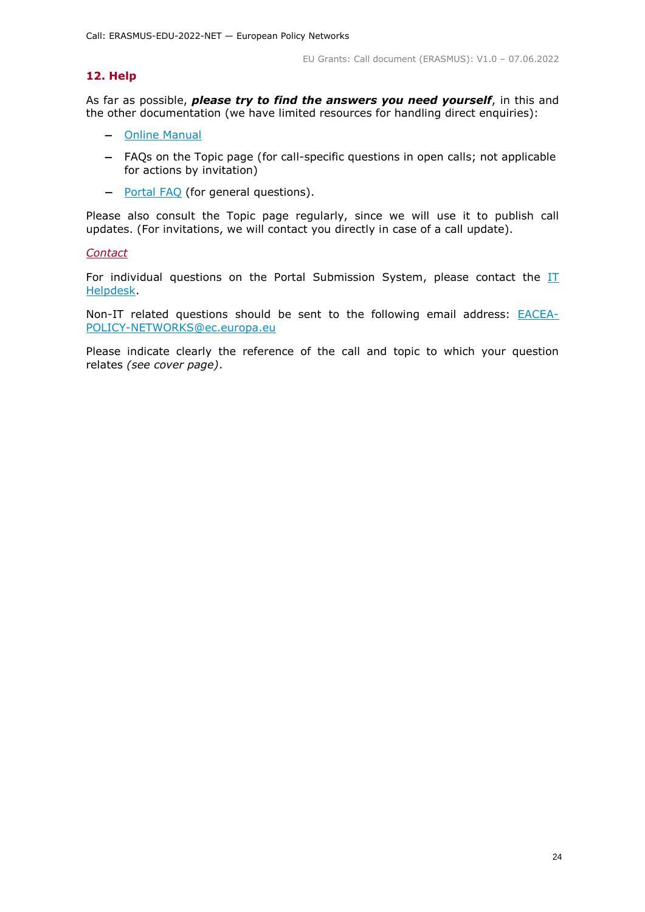# <span id="page-23-0"></span>**12. Help**

As far as possible, *please try to find the answers you need yourself*, in this and the other documentation (we have limited resources for handling direct enquiries):

- [Online Manual](https://ec.europa.eu/info/funding-tenders/opportunities/docs/2021-2027/common/guidance/om_en.pdf)
- FAQs on the Topic page (for call-specific questions in open calls; not applicable for actions by invitation)
- [Portal FAQ](https://ec.europa.eu/info/funding-tenders/opportunities/portal/screen/support/faq;categories=;programme=null;actions=;keyword=) (for general questions).

Please also consult the Topic page regularly, since we will use it to publish call updates. (For invitations, we will contact you directly in case of a call update).

#### <span id="page-23-1"></span>*Contact*

For individual questions on the Portal Submission System, please contact the  $II$ [Helpdesk.](https://ec.europa.eu/info/funding-tenders/opportunities/portal/screen/support/helpdesks/contact-form)

Non-IT related questions should be sent to the following email address: **[EACEA-](mailto:EACEA-POLICY-NETWORKS@ec.europa.eu)**[POLICY-NETWORKS@ec.europa.eu](mailto:EACEA-POLICY-NETWORKS@ec.europa.eu)

Please indicate clearly the reference of the call and topic to which your question relates *(see cover page)*.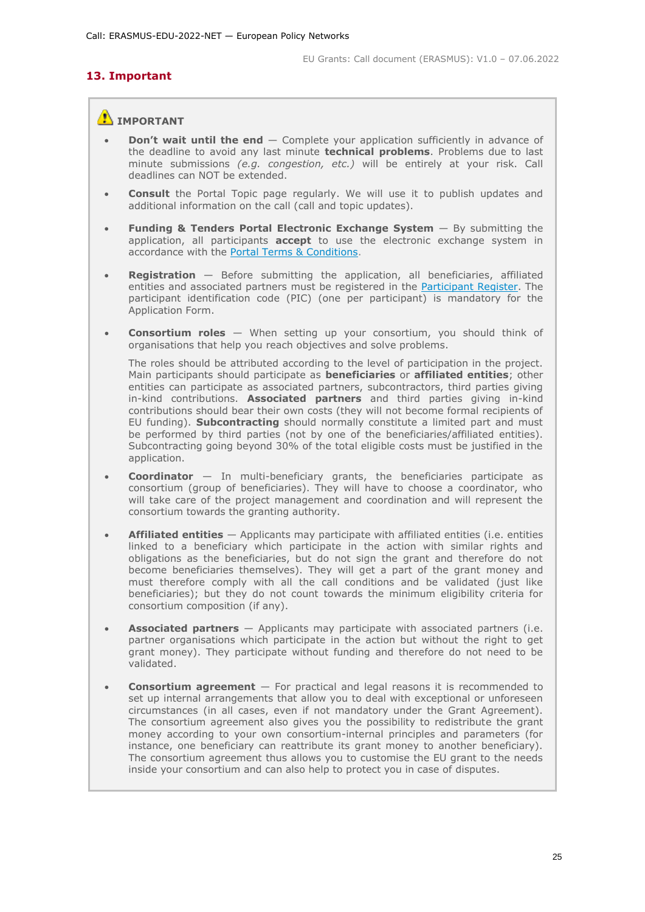# <span id="page-24-0"></span>**13. Important**

# **IMPORTANT**

- **Don't wait until the end** Complete your application sufficiently in advance of the deadline to avoid any last minute **technical problems**. Problems due to last minute submissions *(e.g. congestion, etc.)* will be entirely at your risk. Call deadlines can NOT be extended.
- **Consult** the Portal Topic page regularly. We will use it to publish updates and additional information on the call (call and topic updates).
- **Funding & Tenders Portal Electronic Exchange System** By submitting the application, all participants **accept** to use the electronic exchange system in accordance with the [Portal Terms & Conditions.](https://ec.europa.eu/info/funding-tenders/opportunities/docs/2021-2027/common/ftp/tc_en.pdf)
- **Registration** Before submitting the application, all beneficiaries, affiliated entities and associated partners must be registered in the [Participant Register.](https://ec.europa.eu/info/funding-tenders/opportunities/portal/screen/how-to-participate/participant-register) The participant identification code (PIC) (one per participant) is mandatory for the Application Form.
- **Consortium roles** When setting up your consortium, you should think of organisations that help you reach objectives and solve problems.

The roles should be attributed according to the level of participation in the project. Main participants should participate as **beneficiaries** or **affiliated entities**; other entities can participate as associated partners, subcontractors, third parties giving in-kind contributions. **Associated partners** and third parties giving in-kind contributions should bear their own costs (they will not become formal recipients of EU funding). **Subcontracting** should normally constitute a limited part and must be performed by third parties (not by one of the beneficiaries/affiliated entities). Subcontracting going beyond 30% of the total eligible costs must be justified in the application.

- **Coordinator** In multi-beneficiary grants, the beneficiaries participate as consortium (group of beneficiaries). They will have to choose a coordinator, who will take care of the project management and coordination and will represent the consortium towards the granting authority.
- **Affiliated entities** Applicants may participate with affiliated entities (i.e. entities linked to a beneficiary which participate in the action with similar rights and obligations as the beneficiaries, but do not sign the grant and therefore do not become beneficiaries themselves). They will get a part of the grant money and must therefore comply with all the call conditions and be validated (just like beneficiaries); but they do not count towards the minimum eligibility criteria for consortium composition (if any).
- **Associated partners** Applicants may participate with associated partners (i.e. partner organisations which participate in the action but without the right to get grant money). They participate without funding and therefore do not need to be validated.
- **Consortium agreement**  For practical and legal reasons it is recommended to set up internal arrangements that allow you to deal with exceptional or unforeseen circumstances (in all cases, even if not mandatory under the Grant Agreement). The consortium agreement also gives you the possibility to redistribute the grant money according to your own consortium-internal principles and parameters (for instance, one beneficiary can reattribute its grant money to another beneficiary). The consortium agreement thus allows you to customise the EU grant to the needs inside your consortium and can also help to protect you in case of disputes.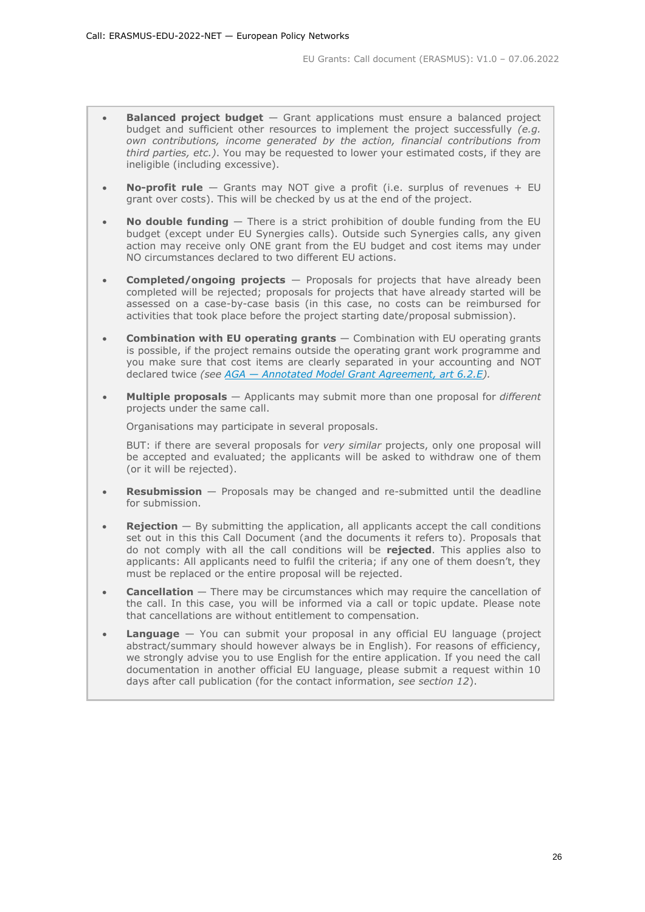- **Balanced project budget** Grant applications must ensure a balanced project budget and sufficient other resources to implement the project successfully *(e.g. own contributions, income generated by the action, financial contributions from third parties, etc.)*. You may be requested to lower your estimated costs, if they are ineligible (including excessive).
- **No-profit rule** Grants may NOT give a profit (i.e. surplus of revenues + EU grant over costs). This will be checked by us at the end of the project.
- **No double funding** There is a strict prohibition of double funding from the EU budget (except under EU Synergies calls). Outside such Synergies calls, any given action may receive only ONE grant from the EU budget and cost items may under NO circumstances declared to two different EU actions.
- **Completed/ongoing projects** Proposals for projects that have already been completed will be rejected; proposals for projects that have already started will be assessed on a case-by-case basis (in this case, no costs can be reimbursed for activities that took place before the project starting date/proposal submission).
- **Combination with EU operating grants** Combination with EU operating grants is possible, if the project remains outside the operating grant work programme and you make sure that cost items are clearly separated in your accounting and NOT declared twice *(see AGA — [Annotated Model Grant Agreement, art 6.2.E\)](https://ec.europa.eu/info/funding-tenders/opportunities/docs/2021-2027/common/guidance/aga_en.pdf).*
- **Multiple proposals** Applicants may submit more than one proposal for *different* projects under the same call.

Organisations may participate in several proposals.

BUT: if there are several proposals for *very similar* projects, only one proposal will be accepted and evaluated; the applicants will be asked to withdraw one of them (or it will be rejected).

- **Resubmission** Proposals may be changed and re-submitted until the deadline for submission.
- **Rejection** By submitting the application, all applicants accept the call conditions set out in this this Call Document (and the documents it refers to). Proposals that do not comply with all the call conditions will be **rejected**. This applies also to applicants: All applicants need to fulfil the criteria; if any one of them doesn't, they must be replaced or the entire proposal will be rejected.
- **Cancellation** There may be circumstances which may require the cancellation of the call. In this case, you will be informed via a call or topic update. Please note that cancellations are without entitlement to compensation.
- **Language** You can submit your proposal in any official EU language (project abstract/summary should however always be in English). For reasons of efficiency, we strongly advise you to use English for the entire application. If you need the call documentation in another official EU language, please submit a request within 10 days after call publication (for the contact information, *see section 12*).